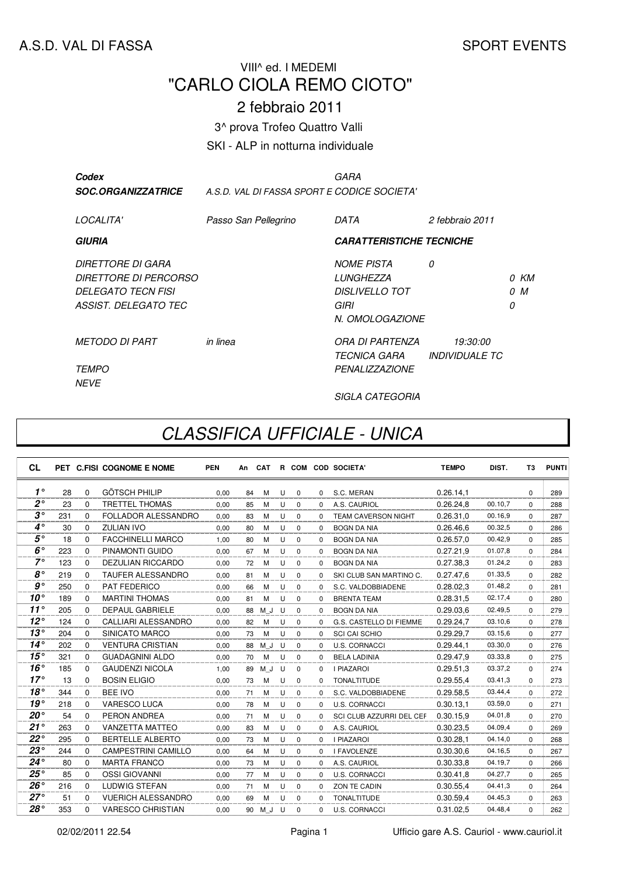#### A.S.D. VAL DI FASSA SPORT EVENTS

## VIII^ ed. I MEDEMI "CARLO CIOLA REMO CIOTO"

### 2 febbraio 2011

3^ prova Trofeo Quattro Valli

SKI - ALP in notturna individuale

| Codex<br><b>SOC.ORGANIZZATRICE</b>                                                              |                      | GARA<br>A.S.D. VAL DI FASSA SPORT E CODICE SOCIETA'                                        |                                          |                   |           |  |  |  |
|-------------------------------------------------------------------------------------------------|----------------------|--------------------------------------------------------------------------------------------|------------------------------------------|-------------------|-----------|--|--|--|
| LOCALITA'                                                                                       | Passo San Pellegrino | DATA                                                                                       | 2 febbraio 2011                          |                   |           |  |  |  |
| GIURIA                                                                                          |                      | <b>CARATTERISTICHE TECNICHE</b>                                                            |                                          |                   |           |  |  |  |
| DIRETTORE DI GARA<br>DIRETTORE DI PERCORSO<br><b>DELEGATO TECN FISI</b><br>ASSIST. DELEGATO TEC |                      | <b>NOME PISTA</b><br><b>I UNGHF77A</b><br><b>DISLIVELLO TOT</b><br>GIRI<br>N. OMOLOGAZIONE | 0                                        | <sup>n</sup><br>0 | 0 KM<br>M |  |  |  |
| <b>METODO DI PART</b><br><i>TEMPO</i><br><b>NEVE</b>                                            | in linea             | ORA DI PARTENZA<br><b>TECNICA GARA</b><br><b>PENALIZZAZIONE</b>                            | 19:30:00<br><i><b>INDIVIDUALE TC</b></i> |                   |           |  |  |  |

SIGLA CATEGORIA

# CLASSIFICA UFFICIALE - UNICA

| <b>CL</b>      |     |          | PET C.FISI COGNOME E NOME  | <b>PEN</b> | An | <b>CAT</b> |   |             |              | R COM COD SOCIETA'       | <b>TEMPO</b> | DIST.   | T3       | <b>PUNTI</b> |
|----------------|-----|----------|----------------------------|------------|----|------------|---|-------------|--------------|--------------------------|--------------|---------|----------|--------------|
| $1^{\circ}$    | 28  | $\Omega$ | <b>GÖTSCH PHILIP</b>       | 0.00       | 84 | м          | U | $\mathbf 0$ | $\Omega$     | S.C. MERAN               | 0.26.14.1    |         | $\Omega$ | 289          |
| $2^{\circ}$    | 23  | $\Omega$ | <b>TRETTEL THOMAS</b>      | 0,00       | 85 | м          | U | $\mathbf 0$ | $\Omega$     | A.S. CAURIOL             | 0.26.24,8    | 00.10,7 | $\Omega$ | 288          |
| $3^{\circ}$    | 231 | $\Omega$ | FOLLADOR ALESSANDRO        | 0,00       | 83 | M          | U | $\mathbf 0$ | $\Omega$     | TEAM CAVERSON NIGHT      | 0.26.31,0    | 00.16.9 | $\Omega$ | 287          |
| $4^\circ$      | 30  | $\Omega$ | <b>ZULIAN IVO</b>          | 0,00       | 80 | м          | U | $\Omega$    | $\Omega$     | <b>BOGN DA NIA</b>       | 0.26.46,6    | 00.32.5 | $\Omega$ | 286          |
| $5^{\circ}$    | 18  | $\Omega$ | <b>FACCHINELLI MARCO</b>   | 1,00       | 80 | м          | U | $\mathbf 0$ | $\Omega$     | <b>BOGN DA NIA</b>       | 0.26.57,0    | 00.42,9 | $\Omega$ | 285          |
| $6^\circ$      | 223 | $\Omega$ | PINAMONTI GUIDO            | 0.00       | 67 | M          | U | $\mathbf 0$ | $\Omega$     | <b>BOGN DA NIA</b>       | 0.27.21.9    | 01.07.8 | $\Omega$ | 284          |
| $7^\circ$      | 123 | $\Omega$ | <b>DEZULIAN RICCARDO</b>   | 0.00       | 72 | M          | U | $\mathbf 0$ | $\Omega$     | <b>BOGN DA NIA</b>       | 0.27.38.3    | 01.24,2 | $\Omega$ | 283          |
| $8^{\circ}$    | 219 | 0        | <b>TAUFER ALESSANDRO</b>   | 0.00       | 81 | M          | U | $\mathbf 0$ | $\mathbf 0$  | SKI CLUB SAN MARTINO C.  | 0.27.47.6    | 01.33,5 | $\Omega$ | 282          |
| g <sub>o</sub> | 250 | $\Omega$ | PAT FEDERICO               | 0,00       | 66 | M          | U | $\Omega$    | $\Omega$     | S.C. VALDOBBIADENE       | 0.28.02,3    | 01.48,2 | $\Omega$ | 281          |
| $10^{\circ}$   | 189 | $\Omega$ | <b>MARTINI THOMAS</b>      | 0,00       | 81 | M          | U | $\mathbf 0$ | $\Omega$     | <b>BRENTA TEAM</b>       | 0.28.31,5    | 02.17.4 | $\Omega$ | 280          |
| $11^{\circ}$   | 205 | $\Omega$ | <b>DEPAUL GABRIELE</b>     | 0,00       | 88 | M J        | U | $\mathbf 0$ | $\Omega$     | <b>BOGN DA NIA</b>       | 0.29.03,6    | 02.49,5 | $\Omega$ | 279          |
| $12^{\circ}$   | 124 | $\Omega$ | <b>CALLIARI ALESSANDRO</b> | 0,00       | 82 | M          | U | 0           | $\Omega$     | G.S. CASTELLO DI FIEMME  | 0.29.24,7    | 03.10,6 | $\Omega$ | 278          |
| $13^{\circ}$   | 204 | $\Omega$ | SINICATO MARCO             | 0,00       | 73 | м          | U | $\Omega$    | $\Omega$     | <b>SCI CAI SCHIO</b>     | 0.29.29,7    | 03.15.6 | $\Omega$ | 277          |
| $14^\circ$     | 202 | $\Omega$ | <b>VENTURA CRISTIAN</b>    | 0.00       | 88 | M J        | U | $\mathbf 0$ | $\Omega$     | U.S. CORNACCI            | 0.29.44.1    | 03.30,0 | $\Omega$ | 276          |
| 15°            | 321 | $\Omega$ | <b>GUADAGNINI ALDO</b>     | 0.00       | 70 | M          | U | $\mathbf 0$ | $\Omega$     | <b>BELA LADINIA</b>      | 0.29.47.9    | 03.33,8 | $\Omega$ | 275          |
| $16^{\circ}$   | 185 | $\Omega$ | <b>GAUDENZI NICOLA</b>     | 1.00       | 89 | M J        | U | $\mathbf 0$ | $\Omega$     | <b>I PIAZAROI</b>        | 0.29.51.3    | 03.37,2 | $\Omega$ | 274          |
| $17^\circ$     | 13  | $\Omega$ | <b>BOSIN ELIGIO</b>        | 0.00       | 73 | M          | U | $\Omega$    | $\Omega$     | <b>TONALTITUDE</b>       | 0.29.55.4    | 03.41,3 | $\Omega$ | 273          |
| 18°            | 344 | $\Omega$ | <b>BEE IVO</b>             | 0,00       | 71 | M          | U | $\Omega$    | $\Omega$     | S.C. VALDOBBIADENE       | 0.29.58,5    | 03.44,4 | $\Omega$ | 272          |
| 19°            | 218 | $\Omega$ | <b>VARESCO LUCA</b>        | 0.00       | 78 | M          | U | $\Omega$    | $\Omega$     | <b>U.S. CORNACCI</b>     | 0.30.13,1    | 03.59.0 | $\Omega$ | 271          |
| $20^{\circ}$   | 54  | $\Omega$ | PERON ANDREA               | 0,00       | 71 | M          | U | $\mathbf 0$ | $\Omega$     | SCI CLUB AZZURRI DEL CEF | 0.30.15,9    | 04.01.8 | $\Omega$ | 270          |
| $21^{\circ}$   | 263 | $\Omega$ | <b>VANZETTA MATTEO</b>     | 0,00       | 83 | M          | U | $\mathbf 0$ | $\mathbf 0$  | A.S. CAURIOL             | 0.30.23,5    | 04.09,4 | $\Omega$ | 269          |
| $22^{\circ}$   | 295 | $\Omega$ | <b>BERTELLE ALBERTO</b>    | 0.00       | 73 | м          | U | $\Omega$    | $\Omega$     | <b>I PIAZAROI</b>        | 0.30.28.1    | 04.14,0 | $\Omega$ | 268          |
| $23^{\circ}$   | 244 | $\Omega$ | <b>CAMPESTRINI CAMILLO</b> | 0.00       | 64 | М          | U | $\mathbf 0$ | <sup>0</sup> | <b>I FAVOLENZE</b>       | 0.30.30,6    | 04.16,5 | $\Omega$ | 267          |
| $24^{\circ}$   | 80  | 0        | <b>MARTA FRANCO</b>        | 0,00       | 73 | м          | U | 0           | 0            | A.S. CAURIOL             | 0.30.33,8    | 04.19,7 | $\Omega$ | 266          |
| $25^{\circ}$   | 85  | $\Omega$ | <b>OSSI GIOVANNI</b>       | 0,00       | 77 | М          | U | $\mathbf 0$ | $\Omega$     | <b>U.S. CORNACCI</b>     | 0.30.41,8    | 04.27,7 | $\Omega$ | 265          |
| $26^\circ$     | 216 | $\Omega$ | <b>LUDWIG STEFAN</b>       | 0,00       | 71 | м          | U | $\Omega$    | $\Omega$     | ZON TE CADIN             | 0.30.55,4    | 04.41,3 | $\Omega$ | 264          |
| $27^\circ$     | 51  | $\Omega$ | <b>VUERICH ALESSANDRO</b>  | 0,00       | 69 | M          | U | $\Omega$    | $\Omega$     | <b>TONALTITUDE</b>       | 0.30.59.4    | 04.45,3 | $\Omega$ | 263          |
| $28^\circ$     | 353 | $\Omega$ | <b>VARESCO CHRISTIAN</b>   | 0.00       | 90 | M J        | U | $\Omega$    | $\Omega$     | <b>U.S. CORNACCI</b>     | 0.31.02,5    | 04.48,4 | $\Omega$ | 262          |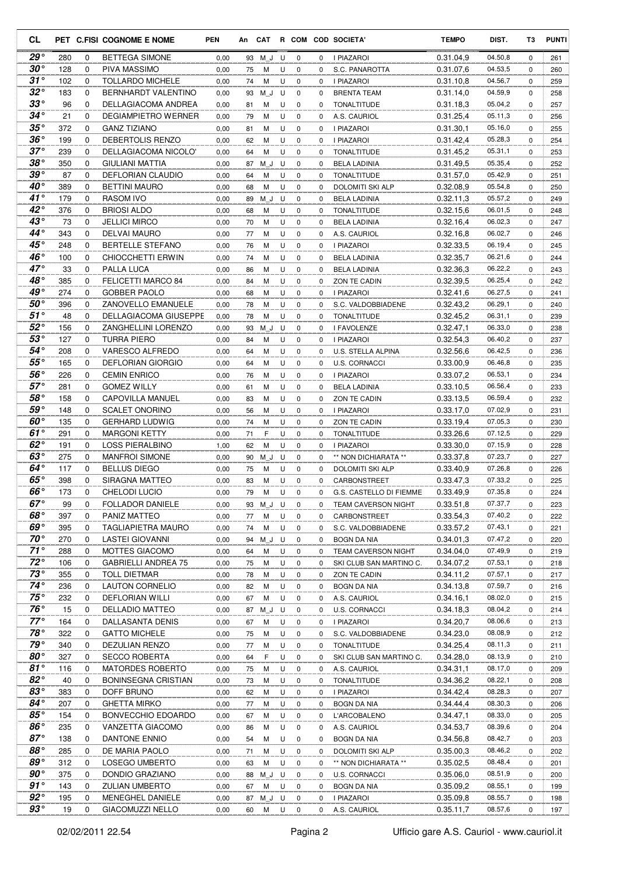| CL                         |            |               | PET C.FISI COGNOME E NOME                      | <b>PEN</b>   |          |             |        |                         |        | An CAT R COM COD SOCIETA'                      | <b>TEMPO</b>           | DIST.              | T3            | <b>PUNTI</b> |
|----------------------------|------------|---------------|------------------------------------------------|--------------|----------|-------------|--------|-------------------------|--------|------------------------------------------------|------------------------|--------------------|---------------|--------------|
| $29^{\circ}$               | 280        | 0             | <b>BETTEGA SIMONE</b>                          | 0,00         | 93       | M J         | U      | 0                       | 0      | <b>I PIAZAROI</b>                              | 0.31.04,9              | 04.50,8            | 0             | 261          |
| $30^{\circ}$               | 128        | 0             | PIVA MASSIMO                                   | 0,00         | 75       | М           | U      | 0                       | 0      | S.C. PANAROTTA                                 | 0.31.07,6              | 04.53,5            | 0             | 260          |
| $31^{\circ}$               | 102        | 0             | <b>TOLLARDO MICHELE</b>                        | 0,00         | 74       | М           | U      | $\mathbf 0$             | 0      | I PIAZAROI                                     | 0.31.10.8              | 04.56,7            | 0             | 259          |
| $32^{\circ}$               | 183        | 0             | <b>BERNHARDT VALENTINO</b>                     | 0,00         | 93       | M J         | U      | $\mathbf 0$             | 0      | BRENTA TEAM                                    | 0.31.14,0              | 04.59,9            | 0             | 258          |
| $33^{\circ}$               | 96         | $\mathbf 0$   | <b>DELLAGIACOMA ANDREA</b>                     | 0,00         | 81       | M           | U      | 0                       | 0      | <b>TONALTITUDE</b>                             | 0.31.18,3              | 05.04,2            | 0             | 257          |
| $34^{\circ}$               | 21         | 0             | <b>DEGIAMPIETRO WERNER</b>                     | 0,00         | 79       | M           | U      | $\mathbf 0$             | 0      | A.S. CAURIOL                                   | 0.31.25,4              | 05.11,3            | 0             | 256          |
| $35^{\circ}$               | 372        | $\mathbf 0$   | <b>GANZ TIZIANO</b>                            | 0,00         | 81       | M           | U      | 0                       | 0      | I PIAZAROI                                     | 0.31.30,1              | 05.16,0            | 0             | 255          |
| $36^{\circ}$<br>$37^\circ$ | 199        | 0             | DEBERTOLIS RENZO                               | 0,00         | 62       | M           | U      | 0                       | 0      | I PIAZAROI                                     | 0.31.42,4              | 05.28,3            | 0             | 254          |
| $38^{\circ}$               | 239<br>350 | $\mathbf 0$   | DELLAGIACOMA NICOLO'<br><b>GIULIANI MATTIA</b> | 0,00         | 64       | М           | U      | 0                       | 0      | <b>TONALTITUDE</b>                             | 0.31.45.2              | 05.31,1<br>05.35,4 | $\mathbf 0$   | 253          |
| 39°                        | 87         | 0<br>0        | <b>DEFLORIAN CLAUDIO</b>                       | 0,00         | 87       | M J         | U<br>U | 0<br>0                  | 0<br>0 | <b>BELA LADINIA</b>                            | 0.31.49,5<br>0.31.57,0 | 05.42,9            | 0<br>0        | 252<br>251   |
| $40^{\circ}$               | 389        | 0             | <b>BETTINI MAURO</b>                           | 0,00<br>0,00 | 64<br>68 | М<br>M      | U      | 0                       | 0      | <b>TONALTITUDE</b><br><b>DOLOMITI SKI ALP</b>  | 0.32.08,9              | 05.54,8            | 0             | 250          |
| $41^{\circ}$               | 179        | $\mathbf 0$   | <b>RASOM IVO</b>                               | 0,00         | 89       | ΜJ          | U      | 0                       | 0      | <b>BELA LADINIA</b>                            | 0.32.11,3              | 05.57,2            | 0             | 249          |
| $42^{\circ}$               | 376        | $\mathbf 0$   | <b>BRIOSI ALDO</b>                             | 0,00         | 68       | М           | U      | $\mathbf 0$             | 0      | TONALTITUDE                                    | 0.32.15,6              | 06.01,5            | 0             | 248          |
| $43^{\circ}$               | 73         | $\mathbf 0$   | <b>JELLICI MIRCO</b>                           | 0,00         | 70       | М           | U      | 0                       | 0      | <b>BELA LADINIA</b>                            | 0.32.16,4              | 06.02,3            | 0             | 247          |
| $44^{\circ}$               | 343        | 0             | <b>DELVAI MAURO</b>                            | 0,00         | 77       | M           | U      | $\mathbf 0$             | 0      | A.S. CAURIOL                                   | 0.32.16,8              | 06.02,7            | $\mathbf 0$   | 246          |
| $45^{\circ}$               | 248        | $\mathbf 0$   | BERTELLE STEFANO                               | 0,00         | 76       | М           | U      | $\mathbf 0$             | 0      | <b>I PIAZAROI</b>                              | 0.32.33,5              | 06.19,4            | 0             | 245          |
| $46^{\circ}$               | 100        | $\mathbf 0$   | <b>CHIOCCHETTI ERWIN</b>                       | 0,00         | 74       | М           | U      | 0                       | 0      | <b>BELA LADINIA</b>                            | 0.32.35,7              | 06.21,6            | $\mathbf 0$   | 244          |
| $47^\circ$                 | 33         | 0             | PALLA LUCA                                     | 0,00         | 86       | М           | U      | 0                       | 0      | <b>BELA LADINIA</b>                            | 0.32.36,3              | 06.22,2            | 0             | 243          |
| $48^\circ$                 | 385        | 0             | FELICETTI MARCO 84                             | 0,00         | 84       | М           | U      | 0                       | 0      | ZON TE CADIN                                   | 0.32.39.5              | 06.25,4            | $\mathbf 0$   | 242          |
| 49°                        | 274        | 0             | <b>GOBBER PAOLO</b>                            | 0,00         | 68       | M           | U      | 0                       | 0      | I PIAZAROI                                     | 0.32.41,6              | 06.27,5            | 0             | 241          |
| $50^{\circ}$               | 396        | $\mathbf 0$   | ZANOVELLO EMANUELE                             | 0,00         | 78       | M           | U      | $\mathbf 0$             | 0      | S.C. VALDOBBIADENE                             | 0.32.43,2              | 06.29,1            | 0             | 240          |
| $51^{\circ}$               | 48         | 0             | DELLAGIACOMA GIUSEPPE                          | 0,00         | 78       | M           | U      | $\mathbf 0$             | 0      | TONALTITUDE                                    | 0.32.45,2              | 06.31,1            | 0             | 239          |
| $52^{\circ}$               | 156        | 0             | ZANGHELLINI LORENZO                            | 0,00         | 93       | M J         | U      | $\mathbf 0$             | 0      | I FAVOLENZE                                    | 0.32.47,1              | 06.33,0            | 0             | 238          |
| $53^{\circ}$               | 127        | 0             | TURRA PIERO                                    | 0,00         | 84       | M           | U      | 0                       | 0      | I PIAZAROI                                     | 0.32.54,3              | 06.40,2            | 0             | 237          |
| 54°                        | 208        | $\mathbf 0$   | VARESCO ALFREDO                                | 0,00         | 64       | М           | U      | 0                       | 0      | U.S. STELLA ALPINA                             | 0.32.56,6              | 06.42,5            | $\mathbf 0$   | 236          |
| $55^{\circ}$               | 165        | 0             | <b>DEFLORIAN GIORGIO</b>                       | 0,00         | 64       | М           | U      | 0                       | 0      | <b>U.S. CORNACCI</b>                           | 0.33.00,9              | 06.46,8            | 0             | 235          |
| 56°                        | 226        | 0             | <b>CEMIN ENRICO</b>                            | 0,00         | 76       | М           | U      | 0                       | 0      | <b>I PIAZAROI</b>                              | 0.33.07,2              | 06.53,1            | 0             | 234          |
| $57^\circ$                 | 281        | 0             | <b>GOMEZ WILLY</b>                             | 0,00         | 61       | M           | U      | 0                       | 0      | <b>BELA LADINIA</b>                            | 0.33.10,5              | 06.56,4            | 0             | 233          |
| $58^{\circ}$               | 158        | 0             | CAPOVILLA MANUEL                               | 0,00         | 83       | М           | U      | 0                       | 0      | ZON TE CADIN                                   | 0.33.13,5              | 06.59,4            | 0             | 232          |
| $59^{\circ}$               | 148        | $\mathbf 0$   | <b>SCALET ONORINO</b>                          | 0,00         | 56       | M           | U      | 0                       | 0      | I PIAZAROI                                     | 0.33.17,0              | 07.02,9            | 0             | 231          |
| $60^{\circ}$               | 135        | $\mathbf{0}$  | <b>GERHARD LUDWIG</b>                          | 0,00         | 74       | M           | U      | 0                       | 0      | ZON TE CADIN                                   | 0.33.19,4              | 07.05,3            | 0             | 230          |
| 61°                        | 291        | $\mathbf 0$   | <b>MARGONI KETTY</b>                           | 0,00         | 71       | F           | U      | $\mathbf 0$             | 0      | TONALTITUDE                                    | 0.33.26,6              | 07.12,5            | 0             | 229          |
| 62 $^{\circ}$              | 191        | $\mathbf 0$   | LOSS PIERALBINO                                | 1,00         | 62       | М           | U      | $\mathbf 0$             | 0      | I PIAZAROI                                     | 0.33.30,0              | 07.15,9            | 0             | 228          |
| $63^\circ$                 | 275        | 0             | <b>MANFROI SIMONE</b>                          | 0,00         | 90       | M J         | U      | 0                       | 0      | ** NON DICHIARATA **                           | 0.33.37,8              | 07.23,7            | $\mathbf 0$   | 227          |
| 64°<br>$65^{\circ}$        | 117        | 0             | <b>BELLUS DIEGO</b><br><b>SIRAGNA MATTEO</b>   | 0,00         | 75       | М           | U      | 0                       | 0      | DOLOMITI SKI ALP                               | 0.33.40,9              | 07.26,8<br>07.33,2 | 0             | 226          |
| $66^\circ$                 | 398<br>173 | 0<br>$\Omega$ | CHELODI LUCIO                                  | 0,00<br>0,00 | 83<br>79 | M<br>M      | U<br>U | $\mathbf 0$<br>$\Omega$ | 0<br>0 | CARBONSTREET                                   | 0.33.47,3<br>0.33.49,9 | 07.35,8            | 0<br>$\Omega$ | 225<br>224   |
| $67^\circ$                 | 99         | 0             | <b>FOLLADOR DANIELE</b>                        | 0,00         |          | 93 M_J U    |        | 0                       | 0      | G.S. CASTELLO DI FIEMME<br>TEAM CAVERSON NIGHT | 0.33.51,8              | 07.37,7            | 0             | 223          |
| $68^\circ$                 | 397        | 0             | PANIZ MATTEO                                   | 0,00         | 77       | М           | U      | 0                       | 0      | CARBONSTREET                                   | 0.33.54,3              | 07.40,2            | 0             | 222          |
| 69°                        | 395        | 0             | <b>TAGLIAPIETRA MAURO</b>                      | 0,00         | 74       | М           | U      | $\mathbf 0$             | 0      | S.C. VALDOBBIADENE                             | 0.33.57,2              | 07.43,1            | 0             | 221          |
| $70^{\circ}$               | 270        | 0             | <b>LASTEI GIOVANNI</b>                         | 0,00         |          | 94 M_J      | U      | $\mathbf 0$             | 0      | <b>BOGN DA NIA</b>                             | 0.34.01,3              | 07.47,2            | 0             | 220          |
| $71^\circ$                 | 288        | 0             | MOTTES GIACOMO                                 | 0,00         | 64       | М           | U      | $\mathbf 0$             | 0      | TEAM CAVERSON NIGHT                            | 0.34.04,0              | 07.49,9            | 0             | 219          |
| $72^{\circ}$               | 106        | 0             | <b>GABRIELLI ANDREA 75</b>                     | 0,00         | 75       | М           | U      | 0                       | 0      | SKI CLUB SAN MARTINO C.                        | 0.34.07,2              | 07.53,1            | 0             | 218          |
| $73^{\circ}$               | 355        | 0             | <b>TOLL DIETMAR</b>                            | 0,00         | 78       | М           | U      | 0                       | 0      | ZON TE CADIN                                   | 0.34.11,2              | 07.57,1            | 0             | 217          |
| $74^{\circ}$               | 236        | 0             | LAUTON CORNELIO                                | 0,00         | 82       | М           | U      | 0                       | 0      | BOGN DA NIA                                    | 0.34.13,8              | 07.59,7            | 0             | 216          |
| $75^{\circ}$               | 232        | 0             | DEFLORIAN WILLI                                | 0,00         | 67       | М           | U      | 0                       | 0      | A.S. CAURIOL                                   | 0.34.16,1              | 08.02,0            | 0             | 215          |
| $76^{\circ}$               | 15         | 0             | <b>DELLADIO MATTEO</b>                         | 0,00         | 87       | M J         | U      | 0                       | 0      | U.S. CORNACCI                                  | 0.34.18,3              | 08.04,2            | 0             | 214          |
| $77^\circ$                 | 164        | 0             | DALLASANTA DENIS                               | 0,00         | 67       | М           | U      | 0                       | 0      | I PIAZAROI                                     | 0.34.20,7              | 08.06,6            | 0             | 213          |
| $78^\circ$                 | 322        | 0             | <b>GATTO MICHELE</b>                           | 0,00         | 75       | М           | U      | $\mathbf 0$             | 0      | S.C. VALDOBBIADENE                             | 0.34.23,0              | 08.08,9            | 0             | 212          |
| 79°                        | 340        | 0             | DEZULIAN RENZO                                 | 0,00         | 77       | М           | U      | 0                       | 0      | <b>TONALTITUDE</b>                             | 0.34.25,4              | 08.11,3            | 0             | 211          |
| $80^{\circ}$               | 327        | 0             | <b>SECCO ROBERTA</b>                           | 0,00         | 64       | F           | U      | 0                       | 0      | SKI CLUB SAN MARTINO C.                        | 0.34.28,0              | 08.13,9            | 0             | 210          |
| $81^{\circ}$               | 116        | 0             | <b>MATORDES ROBERTO</b>                        | 0,00         | 75       | М           | U      | 0                       | 0      | A.S. CAURIOL                                   | 0.34.31,1              | 08.17,0            | 0             | 209          |
| $82^{\circ}$               | 40         | 0             | <b>BONINSEGNA CRISTIAN</b>                     | 0,00         | 73       | М           | U      | 0                       | 0      | <b>TONALTITUDE</b>                             | 0.34.36,2              | 08.22,1            | 0             | 208          |
| $83^{\circ}$               | 383        | 0             | DOFF BRUNO                                     | 0,00         | 62       | М           | U      | 0                       | 0      | I PIAZAROI                                     | 0.34.42,4              | 08.28,3            | 0             | 207          |
| $84^{\circ}$               | 207        | 0             | <b>GHETTA MIRKO</b>                            | 0,00         | 77       | М           | U      | $\mathbf 0$             | 0      | <b>BOGN DA NIA</b>                             | 0.34.44,4              | 08.30,3            | 0             | 206          |
| $85^{\circ}$               | 154        | 0             | BONVECCHIO EDOARDO                             | 0,00         | 67       | М           | U      | 0                       | 0      | L'ARCOBALENO                                   | 0.34.47,1              | 08.33,0            | 0             | 205          |
| $86^{\circ}$               | 235        | 0             | VANZETTA GIACOMO                               | 0,00         | 86       | М           | U      | $\mathbf 0$             | 0      | A.S. CAURIOL                                   | 0.34.53,7              | 08.39,6            | 0             | 204          |
| $87^\circ$                 | 138        | 0             | DANTONE ENNIO                                  | 0,00         | 54       | М           | U      | $\mathbf 0$             | 0      | <b>BOGN DA NIA</b>                             | 0.34.56,8              | 08.42,7            | 0             | 203          |
| 88°                        | 285        | 0             | DE MARIA PAOLO                                 | 0,00         | 71       | М           | U      | $\mathbf 0$             | 0      | DOLOMITI SKI ALP                               | 0.35.00,3              | 08.46,2            | 0             | 202          |
| 89°                        | 312        | 0             | LOSEGO UMBERTO                                 | 0,00         | 63       | М           | U      | 0                       | 0      | ** NON DICHIARATA **                           | 0.35.02,5              | 08.48,4            | 0             | 201          |
| $90^{\circ}$<br>$91^\circ$ | 375        | 0<br>0        | DONDIO GRAZIANO                                | 0,00         | 88       | M J         | U      | 0                       | 0      | <b>U.S. CORNACCI</b>                           | 0.35.06,0              | 08.51,9            | 0             | 200          |
| $92^{\circ}$               | 143<br>195 | 0             | <b>ZULIAN UMBERTO</b>                          | 0,00         | 67       | М           | U      | 0                       | 0      | BOGN DA NIA                                    | 0.35.09,2              | 08.55,1<br>08.55,7 | 0             | 199          |
| $93^{\circ}$               | 19         | 0             | MENEGHEL DANIELE<br><b>GIACOMUZZI NELLO</b>    | 0,00<br>0,00 | 60       | 87 M J<br>М | U<br>U | 0<br>$\mathbf 0$        | 0<br>0 | I PIAZAROI<br>A.S. CAURIOL                     | 0.35.09,8<br>0.35.11,7 | 08.57,6            | 0<br>0        | 198<br>197   |
|                            |            |               |                                                |              |          |             |        |                         |        |                                                |                        |                    |               |              |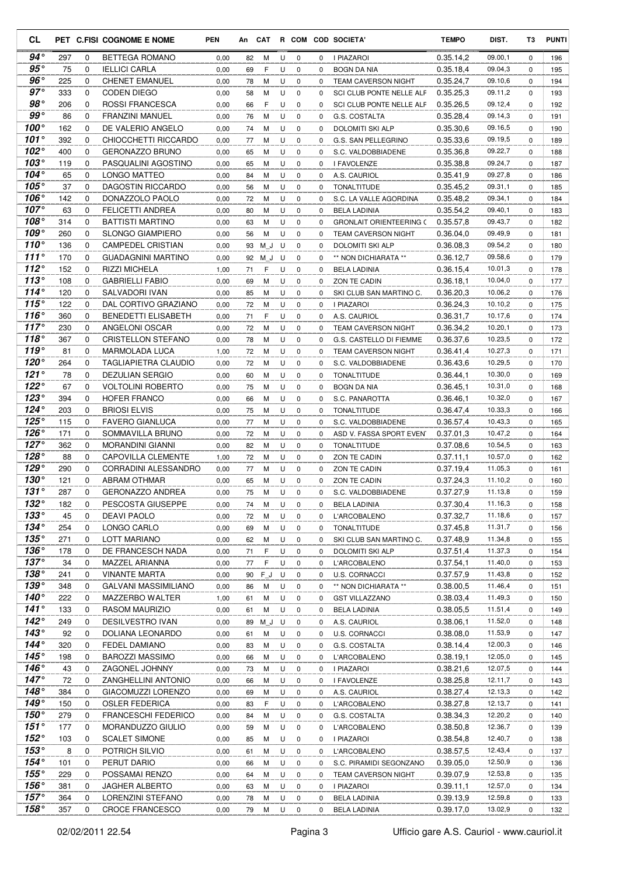| CL                            |            |                  | PET C.FISI COGNOME E NOME                      | <b>PEN</b>   |          |        |        |                  |          | An CAT R COM COD SOCIETA'                      | <b>TEMPO</b>           | DIST.              | T3          | <b>PUNTI</b> |
|-------------------------------|------------|------------------|------------------------------------------------|--------------|----------|--------|--------|------------------|----------|------------------------------------------------|------------------------|--------------------|-------------|--------------|
| $94^{\circ}$                  | 297        | 0                | <b>BETTEGA ROMANO</b>                          | 0,00         | 82       | М      | U      | 0                | 0        | I PIAZAROI                                     | 0.35.14,2              | 09.00,1            | 0           | 196          |
| $95^{\circ}$                  | 75         | 0                | <b>IELLICI CARLA</b>                           | 0,00         | 69       | F      | U      | 0                | $\Omega$ | <b>BOGN DA NIA</b>                             | 0.35.18,4              | 09.04,3            | $\Omega$    | 195          |
| $96^{\circ}$                  | 225        | 0                | <b>CHENET EMANUEL</b>                          | 0,00         | 78       | М      | U      | $\mathbf 0$      | 0        | <b>TEAM CAVERSON NIGHT</b>                     | 0.35.24,7              | 09.10,6            | 0           | 194          |
| $97^\circ$                    | 333        | 0                | <b>CODEN DIEGO</b>                             | 0,00         | 58       | M      | U      | $\mathbf 0$      | 0        | SCI CLUB PONTE NELLE ALF                       | 0.35.25,3              | 09.11,2            | 0           | 193          |
| $98^{\circ}$                  | 206        | $\mathbf 0$      | <b>ROSSI FRANCESCA</b>                         | 0,00         | 66       | F      | U      | $\mathbf 0$      | 0        | <b>SCI CLUB PONTE NELLE ALF</b>                | 0.35.26,5              | 09.12,4            | 0           | 192          |
| $99^{\circ}$                  | 86         | 0                | <b>FRANZINI MANUEL</b>                         | 0,00         | 76       | M      | U      | $\mathbf 0$      | 0        | G.S. COSTALTA                                  | 0.35.28.4              | 09.14,3            | 0           | 191          |
| 100 $^{\circ}$<br>101°        | 162        | $\mathbf 0$      | DE VALERIO ANGELO                              | 0,00         | 74       | M      | U      | $\mathbf 0$      | 0        | DOLOMITI SKI ALP                               | 0.35.30.6              | 09.16,5            | 0           | 190          |
| 102 $^{\circ}$                | 392<br>400 | 0<br>$\mathbf 0$ | CHIOCCHETTI RICCARDO<br><b>GERONAZZO BRUNO</b> | 0,00         | 77<br>65 | M<br>М | U<br>U | 0<br>0           | 0<br>0   | G.S. SAN PELLEGRINO                            | 0.35.33,6<br>0.35.36,8 | 09.19,5<br>09.22,7 | 0<br>0      | 189<br>188   |
| 103°                          | 119        | 0                | PASQUALINI AGOSTINO                            | 0,00<br>0,00 | 65       | М      | U      | 0                | 0        | S.C. VALDOBBIADENE<br>I FAVOLENZE              | 0.35.38,8              | 09.24,7            | 0           | 187          |
| 104 $^{\circ}$                | 65         | 0                | LONGO MATTEO                                   | 0,00         | 84       | М      | U      | 0                | 0        | A.S. CAURIOL                                   | 0.35.41,9              | 09.27,8            | $\Omega$    | 186          |
| $105^\circ$                   | 37         | 0                | DAGOSTIN RICCARDO                              | 0,00         | 56       | M      | U      | $\mathbf 0$      | 0        | <b>TONALTITUDE</b>                             | 0.35.45,2              | 09.31,1            | 0           | 185          |
| $106^\circ$                   | 142        | $\Omega$         | DONAZZOLO PAOLO                                | 0,00         | 72       | M      | U      | $\mathbf 0$      | 0        | S.C. LA VALLE AGORDINA                         | 0.35.48,2              | 09.34,1            | 0           | 184          |
| $107^\circ$                   | 63         | $\mathbf 0$      | FELICETTI ANDREA                               | 0,00         | 80       | М      | U      | $\mathbf 0$      | 0        | <b>BELA LADINIA</b>                            | 0.35.54,2              | 09.40,1            | 0           | 183          |
| 108°                          | 314        | 0                | BATTISTI MARTINO                               | 0,00         | 63       | М      | U      | 0                | 0        | <b>GRONLAIT ORIENTEERING C</b>                 | 0.35.57,8              | 09.43,7            | 0           | 182          |
| $109^\circ$                   | 260        | 0                | <b>SLONGO GIAMPIERO</b>                        | 0,00         | 56       | M      | U      | $\mathbf 0$      | 0        | <b>TEAM CAVERSON NIGHT</b>                     | 0.36.04,0              | 09.49,9            | $\mathbf 0$ | 181          |
| 110 $^{\circ}$                | 136        | $\mathbf 0$      | <b>CAMPEDEL CRISTIAN</b>                       | 0,00         | 93       | M J    | U      | 0                | 0        | DOLOMITI SKI ALP                               | 0.36.08,3              | 09.54,2            | 0           | 180          |
| 111 $^{\circ}$                | 170        | 0                | <b>GUADAGNINI MARTINO</b>                      | 0,00         | 92       | M J    | U      | 0                | 0        | ** NON DICHIARATA **                           | 0.36.12.7              | 09.58,6            | 0           | 179          |
| 112 $^{\circ}$                | 152        | 0                | <b>RIZZI MICHELA</b>                           | 1,00         | 71       | F      | U      | 0                | 0        | <b>BELA LADINIA</b>                            | 0.36.15,4              | 10.01,3            | 0           | 178          |
| 113 $^{\circ}$                | 108        | 0                | <b>GABRIELLI FABIO</b>                         | 0,00         | 69       | М      | U      | $\mathbf 0$      | 0        | ZON TE CADIN                                   | 0.36.18.1              | 10.04,0            | 0           | 177          |
| $114^\circ$                   | 120        | 0                | SALVADORI IVAN                                 | 0,00         | 85       | M      | U      | $\mathbf 0$      | 0        | SKI CLUB SAN MARTINO C.                        | 0.36.20,3              | 10.06,2            | 0           | 176          |
| 115°                          | 122        | $\mathbf 0$      | DAL CORTIVO GRAZIANO                           | 0,00         | 72       | M      | U      | 0                | 0        | I PIAZAROI                                     | 0.36.24,3              | 10.10,2            | 0           | 175          |
| 116°                          | 360        | 0                | <b>BENEDETTI ELISABETH</b>                     | 0,00         | 71       | F      | U      | $\mathbf 0$      | 0        | A.S. CAURIOL                                   | 0.36.31,7              | 10.17,6            | 0           | 174          |
| $117^\circ$                   | 230        | 0                | ANGELONI OSCAR                                 | 0,00         | 72       | М      | U      | $\mathbf 0$      | 0        | <b>TEAM CAVERSON NIGHT</b>                     | 0.36.34,2              | 10.20,1            | 0           | 173          |
| 118 $^{\circ}$                | 367        | 0                | <b>CRISTELLON STEFANO</b>                      | 0,00         | 78       | M      | U      | 0                | 0        | G.S. CASTELLO DI FIEMME                        | 0.36.37,6              | 10.23,5            | 0           | 172          |
| 119°                          | 81         | $\mathbf 0$      | <b>MARMOLADA LUCA</b>                          | 1,00         | 72       | М      | U      | $\mathbf 0$      | 0        | <b>TEAM CAVERSON NIGHT</b>                     | 0.36.41,4              | 10.27,3            | $\mathbf 0$ | 171          |
| 120°                          | 264        | 0                | <b>TAGLIAPIETRA CLAUDIO</b>                    | 0,00         | 72       | М      | U      | 0                | 0        | S.C. VALDOBBIADENE                             | 0.36.43,6              | 10.29,5            | 0           | 170          |
| 121 $^{\circ}$                | 78         | 0                | <b>DEZULIAN SERGIO</b>                         | 0,00         | 60       | М      | U      | $\mathbf 0$      | 0        | <b>TONALTITUDE</b>                             | 0.36.44,1              | 10.30,0            | 0           | 169          |
| $122^\circ$                   | 67         | 0                | <b>VOLTOLINI ROBERTO</b>                       | 0,00         | 75       | M      | U      | 0                | 0        | BOGN DA NIA                                    | 0.36.45,1              | 10.31,0            | 0           | 168          |
| $123^\circ$                   | 394        | 0                | HOFER FRANCO                                   | 0,00         | 66       | М      | U      | 0                | 0        | S.C. PANAROTTA                                 | 0.36.46,1              | 10.32,0            | 0           | 167          |
| $124^\circ$                   | 203        | 0                | <b>BRIOSI ELVIS</b>                            | 0,00         | 75       | M      | U      | $\mathbf 0$      | 0        | TONALTITUDE                                    | 0.36.47,4              | 10.33,3            | 0           | 166          |
| $125^\circ$<br>$126^\circ$    | 115<br>171 | 0<br>0           | <b>FAVERO GIANLUCA</b>                         | 0,00         | 77       | М      | U      | 0                | 0        | S.C. VALDOBBIADENE                             | 0.36.57,4              | 10.43,3<br>10.47,2 | 0           | 165          |
| 127 $^{\circ}$                | 362        | $\mathbf 0$      | SOMMAVILLA BRUNO<br><b>MORANDINI GIANNI</b>    | 0,00<br>0,00 | 72<br>82 | M<br>М | U<br>U | $\mathbf 0$<br>0 | 0<br>0   | ASD V. FASSA SPORT EVENT<br><b>TONALTITUDE</b> | 0.37.01,3<br>0.37.08,6 | 10.54,5            | 0<br>0      | 164<br>163   |
| 128°                          | 88         | 0                | <b>CAPOVILLA CLEMENTE</b>                      | 1,00         | 72       | М      | U      | $\mathbf 0$      | 0        | ZON TE CADIN                                   | 0.37.11,1              | 10.57,0            | 0           | 162          |
| $129^\circ$                   | 290        | 0                | CORRADINI ALESSANDRO                           | 0,00         | 77       | М      | U      | 0                | $\Omega$ | ZON TE CADIN                                   | 0.37.19,4              | 11.05,3            | $\Omega$    | 161          |
| $130^\circ$                   | 121        | 0                | <b>ABRAM OTHMAR</b>                            | 0,00         | 65       | M      | U      | $\mathbf 0$      | 0        | ZON TE CADIN                                   | 0.37.24,3              | 11.10,2            | 0           | 160          |
| 131°                          | 287        | $\Omega$         | <b>GERONAZZO ANDREA</b>                        | 0,00         | 75       | M      | U      | $\Omega$         | $\Omega$ | S.C. VALDOBBIADENE                             | 0.37.27,9              | 11.13,8            | $\Omega$    | 159          |
| $132^\circ$                   | 182        | 0                | PESCOSTA GIUSEPPE                              | 0,00         | 74       | M      | U      | 0                | 0        | <b>BELA LADINIA</b>                            | 0.37.30,4              | 11.16,3            | 0           | 158          |
| $133^\circ$                   | 45         | 0                | <b>DEAVI PAOLO</b>                             | 0,00         | 72       | М      | U      | 0                | 0        | L'ARCOBALENO                                   | 0.37.32,7              | 11.18,6            | 0           | 157          |
| $134^\circ$                   | 254        | 0                | LONGO CARLO                                    | 0,00         | 69       | М      | U      | $\mathbf 0$      | 0        | <b>TONALTITUDE</b>                             | 0.37.45,8              | 11.31,7            | 0           | 156          |
| $135^\circ$                   | 271        | 0                | LOTT MARIANO                                   | 0,00         | 62       | М      | U      | $\mathbf 0$      | 0        | SKI CLUB SAN MARTINO C.                        | 0.37.48,9              | 11.34,8            | 0           | 155          |
| $136^\circ$                   | 178        | 0                | DE FRANCESCH NADA                              | 0,00         | 71       | F      | U      | $\mathbf 0$      | 0        | DOLOMITI SKI ALP                               | 0.37.51,4              | 11.37,3            | 0           | 154          |
| $137^\circ$                   | 34         | 0                | MAZZEL ARIANNA                                 | 0,00         | 77       | F      | U      | 0                | 0        | L'ARCOBALENO                                   | 0.37.54,1              | 11.40,0            | 0           | 153          |
| $138^\circ$                   | 241        | 0                | <b>VINANTE MARTA</b>                           | 0,00         | 90       | $F_J$  | U      | 0                | 0        | <b>U.S. CORNACCI</b>                           | 0.37.57,9              | 11.43,8            | 0           | 152          |
| $139^\circ$                   | 348        | 0                | GALVANI MASSIMILIANO                           | 0,00         | 86       | М      | U      | 0                | 0        | ** NON DICHIARATA **                           | 0.38.00,5              | 11.46,4            | 0           | 151          |
| $140^\circ$                   | 222        | 0                | MAZZERBO WALTER                                | 1,00         | 61       | М      | U      | 0                | 0        | <b>GST VILLAZZANO</b>                          | 0.38.03,4              | 11.49,3            | 0           | 150          |
| $141^\circ$                   | 133        | 0                | RASOM MAURIZIO                                 | 0,00         | 61       | M      | U      | 0                | 0        | <b>BELA LADINIA</b>                            | 0.38.05.5              | 11.51,4            | 0           | 149          |
| $142^\circ$                   | 249        | 0                | DESILVESTRO IVAN                               | 0,00         | 89       | M_J    | U      | 0                | 0        | A.S. CAURIOL                                   | 0.38.06,1              | 11.52,0            | 0           | 148          |
| $143^\circ$                   | 92         | 0                | DOLIANA LEONARDO                               | 0,00         | 61       | М      | U      | 0                | 0        | <b>U.S. CORNACCI</b>                           | 0.38.08,0              | 11.53,9            | 0           | 147          |
| 144°                          | 320        | 0                | FEDEL DAMIANO                                  | 0,00         | 83       | М      | U      | 0                | 0        | G.S. COSTALTA                                  | 0.38.14,4              | 12.00,3            | 0           | 146          |
| 145 $^{\circ}$                | 198        | 0                | <b>BAROZZI MASSIMO</b>                         | 0,00         | 66       | М      | U      | 0                | 0        | L'ARCOBALENO                                   | 0.38.19,1              | 12.05,0            | 0           | 145          |
| 146 $^{\circ}$<br>$147^\circ$ | 43         | 0                | ZAGONEL JOHNNY                                 | 0,00         | 73       | М      | U      | 0                | 0        | I PIAZAROI                                     | 0.38.21,6              | 12.07,5            | 0           | 144          |
| $148^\circ$                   | 72<br>384  | 0<br>0           | ZANGHELLINI ANTONIO<br>GIACOMUZZI LORENZO      | 0,00         | 66       | М      | U      | $\mathbf 0$      | 0        | I FAVOLENZE                                    | 0.38.25,8              | 12.11,7<br>12.13,3 | 0           | 143          |
| $149^\circ$                   | 150        | 0                | <b>OSLER FEDERICA</b>                          | 0,00<br>0,00 | 69<br>83 | М<br>F | U<br>U | 0<br>0           | 0<br>0   | A.S. CAURIOL<br>L'ARCOBALENO                   | 0.38.27,4<br>0.38.27,8 | 12.13,7            | 0<br>0      | 142<br>141   |
| 150 $^{\circ}$                | 279        | 0                | <b>FRANCESCHI FEDERICO</b>                     | 0,00         | 84       | М      | U      | 0                | 0        | G.S. COSTALTA                                  | 0.38.34,3              | 12.20,2            | 0           | 140          |
| $151^\circ$                   | 177        | 0                | MORANDUZZO GIULIO                              | 0,00         | 59       | М      | U      | $\mathbf 0$      | 0        | L'ARCOBALENO                                   | 0.38.50,8              | 12.36,7            | 0           | 139          |
| $152^\circ$                   | 103        | 0                | <b>SCALET SIMONE</b>                           | 0,00         | 85       | М      | U      | $\mathbf 0$      | 0        | I PIAZAROI                                     | 0.38.54,8              | 12.40,7            | 0           | 138          |
| $153^\circ$                   | 8          | 0                | POTRICH SILVIO                                 | 0,00         | 61       | М      | U      | $\mathbf 0$      | 0        | L'ARCOBALENO                                   | 0.38.57,5              | 12.43,4            | 0           | 137          |
| 154 $^{\circ}$                | 101        | 0                | PERUT DARIO                                    | 0,00         | 66       | М      | U      | 0                | 0        | S.C. PIRAMIDI SEGONZANO                        | 0.39.05,0              | 12.50,9            | 0           | 136          |
| $155^\circ$                   | 229        | 0                | POSSAMAI RENZO                                 | 0,00         | 64       | М      | U      | 0                | 0        | TEAM CAVERSON NIGHT                            | 0.39.07,9              | 12.53,8            | 0           | 135          |
| $156^\circ$                   | 381        | 0                | <b>JAGHER ALBERTO</b>                          | 0,00         | 63       | М      | U      | 0                | 0        | I PIAZAROI                                     | 0.39.11,1              | 12.57,0            | 0           | 134          |
| $157^\circ$                   | 364        | 0                | LORENZINI STEFANO                              | 0,00         | 78       | М      | U      | 0                | 0        | <b>BELA LADINIA</b>                            | 0.39.13,9              | 12.59,8            | 0           | 133          |
| $158^\circ$                   | 357        | 0                | CROCE FRANCESCO                                | 0,00         | 79       | М      | U      | $\mathbf 0$      | 0        | <b>BELA LADINIA</b>                            | 0.39.17,0              | 13.02,9            | 0           | 132          |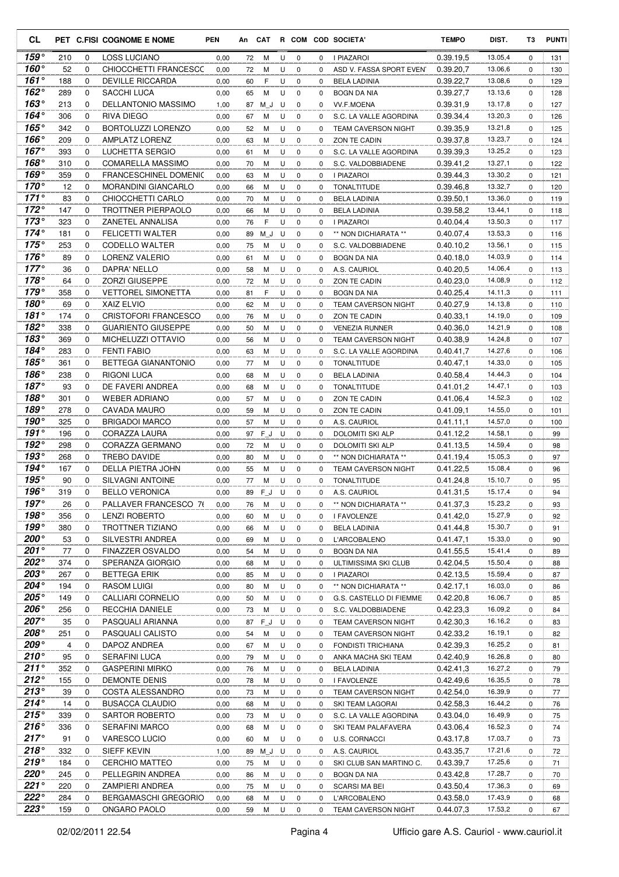| <b>CL</b>                        |            |                            | PET C.FISI COGNOME E NOME                   | PEN          |          | An CAT |        |                  |          | R COM COD SOCIETA'                               | <b>TEMPO</b>           | DIST.              | T3               | <b>PUNTI</b> |
|----------------------------------|------------|----------------------------|---------------------------------------------|--------------|----------|--------|--------|------------------|----------|--------------------------------------------------|------------------------|--------------------|------------------|--------------|
| 159°                             | 210        | 0                          | <b>LOSS LUCIANO</b>                         | 0,00         | 72       | М      | U      | $\mathbf 0$      | 0        | I PIAZAROI                                       | 0.39.19,5              | 13.05,4            | 0                | 131          |
| 160°                             | 52         | 0                          | CHIOCCHETTI FRANCESCC                       | 0,00         | 72       | М      | U      | 0                | 0        | ASD V. FASSA SPORT EVEN                          | 0.39.20,7              | 13.06,6            | 0                | 130          |
| $161^\circ$                      | 188        | 0                          | <b>DEVILLE RICCARDA</b>                     | 0,00         | 60       | F      | U      | $\mathbf 0$      | 0        | <b>BELA LADINIA</b>                              | 0.39.22,7              | 13.08,6            | 0                | 129          |
| $162^\circ$                      | 289        | 0                          | SACCHI LUCA                                 | 0,00         | 65       | M      | U      | $\mathbf 0$      | 0        | <b>BOGN DA NIA</b>                               | 0.39.27,7              | 13.13,6            | 0                | 128          |
| $163^\circ$                      | 213        | 0                          | DELLANTONIO MASSIMO                         | 1,00         | 87       | M J    | U      | 0                | 0        | <b>VV.F.MOENA</b>                                | 0.39.31,9              | 13.17,8            | 0                | 127          |
| 164°                             | 306        | 0                          | RIVA DIEGO                                  | 0,00         | 67       | М      | U      | 0                | 0        | S.C. LA VALLE AGORDINA                           | 0.39.34,4              | 13.20,3            | 0                | 126          |
| 165°                             | 342        | $\mathbf 0$                | BORTOLUZZI LORENZO                          | 0,00         | 52       | М      | U      | $\mathbf 0$      | $\Omega$ | <b>TEAM CAVERSON NIGHT</b>                       | 0.39.35,9              | 13.21,8            | 0                | 125          |
| 166 $^{\circ}$<br>167 $^{\circ}$ | 209<br>393 | $\mathbf 0$<br>$\mathbf 0$ | AMPLATZ LORENZ                              | 0,00         | 63       | м      | U      | 0                | 0        | <b>ZON TE CADIN</b>                              | 0.39.37,8              | 13.23,7<br>13.25,2 | 0                | 124          |
| 168°                             | 310        | 0                          | LUCHETTA SERGIO<br><b>COMARELLA MASSIMO</b> | 0,00<br>0,00 | 61<br>70 | M<br>М | U<br>U | 0<br>$\mathbf 0$ | 0<br>0   | S.C. LA VALLE AGORDINA<br>S.C. VALDOBBIADENE     | 0.39.39,3<br>0.39.41,2 | 13.27,1            | $\mathbf 0$<br>0 | 123<br>122   |
| 169°                             | 359        | 0                          | <b>FRANCESCHINEL DOMENIC</b>                | 0,00         | 63       | М      | U      | 0                | 0        | I PIAZAROI                                       | 0.39.44,3              | 13.30,2            | $\Omega$         | 121          |
| $170^\circ$                      | 12         | 0                          | MORANDINI GIANCARLO                         | 0,00         | 66       | М      | U      | $\mathbf 0$      | 0        | <b>TONALTITUDE</b>                               | 0.39.46.8              | 13.32,7            | 0                | 120          |
| $171^\circ$                      | 83         | 0                          | CHIOCCHETTI CARLO                           | 0,00         | 70       | М      | U      | 0                | 0        | <b>BELA LADINIA</b>                              | 0.39.50,1              | 13.36,0            | 0                | 119          |
| $172^\circ$                      | 147        | 0                          | TROTTNER PIERPAOLO                          | 0,00         | 66       | М      | U      | $\mathbf 0$      | 0        | <b>BELA LADINIA</b>                              | 0.39.58.2              | 13.44,1            | 0                | 118          |
| 173 $^{\circ}$                   | 323        | $\mathbf 0$                | ZANETEL ANNALISA                            | 0,00         | 76       | F      | U      | 0                | 0        | I PIAZAROI                                       | 0.40.04,4              | 13.50,3            | 0                | 117          |
| $174^\circ$                      | 181        | $\mathbf 0$                | <b>FELICETTI WALTER</b>                     | 0,00         | 89       | M J    | U      | $\mathbf 0$      | 0        | ** NON DICHIARATA **                             | 0.40.07.4              | 13.53,3            | 0                | 116          |
| $175^\circ$                      | 253        | 0                          | CODELLO WALTER                              | 0,00         | 75       | M      | U      | 0                | 0        | S.C. VALDOBBIADENE                               | 0.40.10,2              | 13.56,1            | 0                | 115          |
| 176°                             | 89         | 0                          | LORENZ VALERIO                              | 0,00         | 61       | M      | U      | 0                | 0        | <b>BOGN DA NIA</b>                               | 0.40.18.0              | 14.03,9            | $\mathbf 0$      | 114          |
| $177^\circ$                      | 36         | 0                          | DAPRA' NELLO                                | 0,00         | 58       | М      | U      | 0                | 0        | A.S. CAURIOL                                     | 0.40.20.5              | 14.06,4            | 0                | 113          |
| 178°                             | 64         | 0                          | <b>ZORZI GIUSEPPE</b>                       | 0,00         | 72       | M      | U      | $\mathbf 0$      | 0        | ZON TE CADIN                                     | 0.40.23,0              | 14.08,9            | 0                | 112          |
| $179^\circ$                      | 358        | 0                          | <b>VETTOREL SIMONETTA</b>                   | 0,00         | 81       | F      | U      | $\mathbf 0$      | 0        | <b>BOGN DA NIA</b>                               | 0.40.25,4              | 14.11,3            | 0                | 111          |
| 180°                             | 69         | 0                          | <b>XAIZ ELVIO</b>                           | 0,00         | 62       | M      | U      | 0                | 0        | <b>TEAM CAVERSON NIGHT</b>                       | 0.40.27,9              | 14.13,8            | 0                | 110          |
| 181°                             | 174        | 0                          | <b>CRISTOFORI FRANCESCO</b>                 | 0,00         | 76       | М      | U      | $\mathbf 0$      | 0        | ZON TE CADIN                                     | 0.40.33.1              | 14.19,0            | 0                | 109          |
| 182°                             | 338        | $\mathbf 0$                | <b>GUARIENTO GIUSEPPE</b>                   | 0,00         | 50       | M      | U      | $\mathbf 0$      | 0        | <b>VENEZIA RUNNER</b>                            | 0.40.36,0              | 14.21,9            | 0                | 108          |
| $183^\circ$                      | 369        | 0                          | MICHELUZZI OTTAVIO                          | 0,00         | 56       | M      | U      | 0                | 0        | <b>TEAM CAVERSON NIGHT</b>                       | 0.40.38.9              | 14.24,8            | 0                | 107          |
| 184°                             | 283        | 0                          | <b>FENTI FABIO</b>                          | 0,00         | 63       | M      | U      | $\mathbf 0$      | $\Omega$ | S.C. LA VALLE AGORDINA                           | 0.40.41,7              | 14.27,6            | 0                | 106          |
| 185°                             | 361        | 0                          | BETTEGA GIANANTONIO                         | 0,00         | 77       | M      | U      | 0                | 0        | <b>TONALTITUDE</b>                               | 0.40.47,1              | 14.33,0            | 0                | 105          |
| 186°<br>$187^\circ$              | 238        | 0                          | <b>RIGONI LUCA</b>                          | 0,00         | 68       | M      | U      | $\mathbf 0$      | 0        | <b>BELA LADINIA</b>                              | 0.40.58.4              | 14.44,3<br>14.47,1 | 0                | 104          |
| $188^\circ$                      | 93         | 0<br>0                     | DE FAVERI ANDREA                            | 0,00         | 68       | М      | U      | $\mathbf 0$      | 0        | <b>TONALTITUDE</b>                               | 0.41.01,2              | 14.52,3            | 0                | 103          |
| $189^\circ$                      | 301<br>278 | 0                          | <b>WEBER ADRIANO</b><br>CAVADA MAURO        | 0,00<br>0,00 | 57<br>59 | М<br>М | U<br>U | 0<br>$\mathbf 0$ | 0<br>0   | ZON TE CADIN<br>ZON TE CADIN                     | 0.41.06,4<br>0.41.09,1 | 14.55,0            | 0<br>0           | 102<br>101   |
| 190°                             | 325        | $\mathbf 0$                | <b>BRIGADOI MARCO</b>                       | 0,00         | 57       | М      | U      | $\mathbf 0$      | $\Omega$ | A.S. CAURIOL                                     | 0.41.11,1              | 14.57,0            | 0                | 100          |
| $191^\circ$                      | 196        | $\mathbf 0$                | CORAZZA LAURA                               | 0,00         | 97       | FJ     | U      | $\mathbf 0$      | 0        | DOLOMITI SKI ALP                                 | 0.41.12,2              | 14.58,1            | 0                | 99           |
| 192°                             | 298        | 0                          | CORAZZA GERMANO                             | 0,00         | 72       | М      | U      | 0                | 0        | DOLOMITI SKI ALP                                 | 0.41.13.5              | 14.59,4            | 0                | 98           |
| 193°                             | 268        | 0                          | <b>TREBO DAVIDE</b>                         | 0,00         | 80       | М      | U      | $\mathbf 0$      | 0        | ** NON DICHIARATA **                             | 0.41.19.4              | 15.05,3            | 0                | 97           |
| 194°                             | 167        | 0                          | DELLA PIETRA JOHN                           | 0,00         | 55       | М      | U      | 0                | 0        | <b>TEAM CAVERSON NIGHT</b>                       | 0.41.22,5              | 15.08,4            | 0                | 96           |
| $195^\circ$                      | 90         | 0                          | <b>SILVAGNI ANTOINE</b>                     | 0,00         | 77       | M      | U      | $\mathbf 0$      | 0        | <b>TONALTITUDE</b>                               | 0.41.24.8              | 15.10,7            | 0                | 95           |
| $196^\circ$                      | 319        | $\Omega$                   | <b>BELLO VERONICA</b>                       | 0,00         | 89       | F J    | U      | $\Omega$         | $\Omega$ | A.S. CAURIOL                                     | 0.41.31,5              | 15.17,4            | $\Omega$         | 94           |
| $197^\circ$                      | 26         | 0                          | PALLAVER FRANCESCO 76                       | 0,00         | 76       | M      | U      | 0                | 0        | ** NON DICHIARATA **                             | 0.41.37,3              | 15.23,2            | 0                | 93           |
| $198^\circ$                      | 356        | 0                          | <b>LENZI ROBERTO</b>                        | 0,00         | 60       | M      | U      | 0                | 0        | I FAVOLENZE                                      | 0.41.42,0              | 15.27,9            | 0                | 92           |
| $199^\circ$                      | 380        | 0                          | TROTTNER TIZIANO                            | 0,00         | 66       | M      | U      | 0                | 0        | <b>BELA LADINIA</b>                              | 0.41.44,8              | 15.30,7            | 0                | 91           |
| 200°                             | 53         | 0                          | SILVESTRI ANDREA                            | 0,00         | 69       | M      | U      | 0                | 0        | L'ARCOBALENO                                     | 0.41.47,1              | 15.33,0            | 0                | 90           |
| 201 $^{\circ}$                   | 77         | 0                          | FINAZZER OSVALDO                            | 0,00         | 54       | M      | U      | 0                | 0        | BOGN DA NIA                                      | 0.41.55,5              | 15.41,4            | 0                | 89           |
| 202°                             | 374        | 0                          | SPERANZA GIORGIO                            | 0,00         | 68       | M      | U      | 0                | 0        | ULTIMISSIMA SKI CLUB                             | 0.42.04,5              | 15.50,4            | 0                | 88           |
| 203°                             | 267        | 0                          | <b>BETTEGA ERIK</b>                         | 0,00         | 85       | м      | U      | 0                | 0        | I PIAZAROI                                       | 0.42.13,5              | 15.59,4            | 0                | 87           |
| 204°                             | 194        | 0                          | RASOM LUIGI                                 | 0,00         | 80       | M      | U      | 0                | 0        | ** NON DICHIARATA **                             | 0.42.17,1              | 16.03,0            | 0                | 86           |
| 205°                             | 149        | 0                          | CALLIARI CORNELIO                           | 0,00         | 50       | M      | U      | 0                | 0        | G.S. CASTELLO DI FIEMME                          | 0.42.20,8              | 16.06,7            | 0                | 85           |
| 206°<br>207°                     | 256        | 0                          | RECCHIA DANIELE                             | 0,00         | 73       | M      | U      | 0                | 0        | S.C. VALDOBBIADENE                               | 0.42.23,3              | 16.09,2            | 0                | 84           |
| 208°                             | 35<br>251  | 0<br>0                     | PASQUALI ARIANNA<br>PASQUALI CALISTO        | 0,00         | 87       | $F_J$  | U      | 0<br>0           | 0        | <b>TEAM CAVERSON NIGHT</b>                       | 0.42.30,3<br>0.42.33,2 | 16.16,2<br>16.19,1 | 0<br>0           | 83<br>82     |
| 209°                             | 4          | 0                          | DAPOZ ANDREA                                | 0,00<br>0,00 | 54<br>67 | M<br>M | U<br>U | 0                | 0<br>0   | <b>TEAM CAVERSON NIGHT</b><br>FONDISTI TRICHIANA | 0.42.39,3              | 16.25,2            | 0                | 81           |
| $210^{\circ}$                    | 95         | 0                          | SERAFINI LUCA                               | 0,00         | 79       | M      | U      | 0                | 0        | ANKA MACHA SKI TEAM                              | 0.42.40,9              | 16.26,8            | 0                | 80           |
| $211^{\circ}$                    | 352        | 0                          | <b>GASPERINI MIRKO</b>                      | 0,00         | 76       | M      | U      | 0                | 0        | <b>BELA LADINIA</b>                              | 0.42.41,3              | 16.27,2            | 0                | 79           |
| $212^\circ$                      | 155        | 0                          | <b>DEMONTE DENIS</b>                        | 0,00         | 78       | M      | U      | 0                | 0        | I FAVOLENZE                                      | 0.42.49,6              | 16.35,5            | 0                | 78           |
| 213°                             | 39         | 0                          | COSTA ALESSANDRO                            | 0,00         | 73       | M      | U      | 0                | 0        | <b>TEAM CAVERSON NIGHT</b>                       | 0.42.54,0              | 16.39,9            | 0                | 77           |
| $214^\circ$                      | 14         | 0                          | <b>BUSACCA CLAUDIO</b>                      | 0,00         | 68       | M      | U      | 0                | 0        | SKI TEAM LAGORAI                                 | 0.42.58,3              | 16.44,2            | 0                | 76           |
| $215^\circ$                      | 339        | 0                          | SARTOR ROBERTO                              | 0,00         | 73       | M      | U      | 0                | 0        | S.C. LA VALLE AGORDINA                           | 0.43.04,0              | 16.49,9            | 0                | 75           |
| $216^\circ$                      | 336        | 0                          | <b>SERAFINI MARCO</b>                       | 0,00         | 68       | M      | U      | 0                | 0        | SKI TEAM PALAFAVERA                              | 0.43.06,4              | 16.52,3            | 0                | 74           |
| $217^\circ$                      | 91         | 0                          | VARESCO LUCIO                               | 0,00         | 60       | M      | U      | 0                | 0        | <b>U.S. CORNACCI</b>                             | 0.43.17,8              | 17.03,7            | 0                | 73           |
| $218^\circ$                      | 332        | 0                          | SIEFF KEVIN                                 | 1,00         | 89       | $M_J$  | U      | 0                | 0        | A.S. CAURIOL                                     | 0.43.35,7              | 17.21,6            | 0                | 72           |
| $219^{\circ}$                    | 184        | 0                          | <b>CERCHIO MATTEO</b>                       | 0,00         | 75       | M      | U      | 0                | 0        | SKI CLUB SAN MARTINO C.                          | 0.43.39,7              | 17.25,6            | 0                | 71           |
| $220^{\circ}$                    | 245        | 0                          | PELLEGRIN ANDREA                            | 0,00         | 86       | М      | U      | 0                | 0        | <b>BOGN DA NIA</b>                               | 0.43.42,8              | 17.28,7            | 0                | 70           |
| $221^\circ$                      | 220        | 0                          | ZAMPIERI ANDREA                             | 0,00         | 75       | M      | U      | 0                | 0        | <b>SCARSI MA BEI</b>                             | 0.43.50,4              | 17.36,3            | 0                | 69           |
| $222^\circ$                      | 284        | 0                          | <b>BERGAMASCHI GREGORIO</b>                 | 0,00         | 68       | M      | U      | 0                | 0        | L'ARCOBALENO                                     | 0.43.58,0              | 17.43,9            | 0                | 68           |
| 223°                             | 159        | 0                          | ONGARO PAOLO                                | 0,00         | 59       | M      | U      | 0                | 0        | TEAM CAVERSON NIGHT                              | 0.44.07,3              | 17.53,2            | 0                | 67           |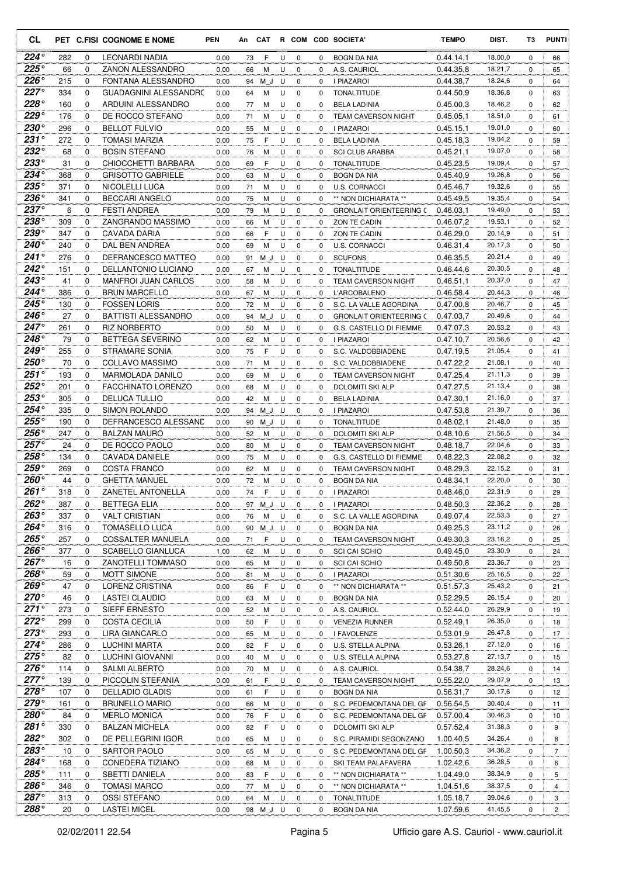| CL                           |            |               | PET C.FISI COGNOME E NOME                         | <b>PEN</b>   | An       | <b>CAT</b> |        |                            |                  | R COM COD SOCIETA'                                        | <b>TEMPO</b>           | DIST.              | T3            | <b>PUNTI</b>   |
|------------------------------|------------|---------------|---------------------------------------------------|--------------|----------|------------|--------|----------------------------|------------------|-----------------------------------------------------------|------------------------|--------------------|---------------|----------------|
| 224°                         | 282        | 0             | LEONARDI NADIA                                    | 0,00         | 73       | F          | U      | 0                          | 0                | <b>BOGN DA NIA</b>                                        | 0.44.14.1              | 18.00,0            | 0             | 66             |
| $225^{\circ}$                | 66         | $\Omega$      | ZANON ALESSANDRO                                  | 0,00         | 66       | М          | U      | $\mathbf 0$                | 0                | A.S. CAURIOL                                              | 0.44.35.8              | 18.21,7            | $\Omega$      | 65             |
| $226^\circ$                  | 215        | 0             | FONTANA ALESSANDRO                                | 0,00         | 94       | ΜJ         | U      | $\mathbf 0$                | $\Omega$         | I PIAZAROI                                                | 0.44.38,7              | 18.24,6            | $\Omega$      | 64             |
| $227^\circ$                  | 334        | $\Omega$      | <b>GUADAGNINI ALESSANDRO</b>                      | 0,00         | 64       | М          | U      | $\mathbf 0$                | 0                | <b>TONALTITUDE</b>                                        | 0.44.50,9              | 18.36,8            | 0             | 63             |
| $228^\circ$<br>$229^\circ$   | 160        | 0             | ARDUINI ALESSANDRO                                | 0,00         | 77       | М          | U      | $\mathbf 0$                | $\Omega$         | <b>BELA LADINIA</b>                                       | 0.45.00,3              | 18.46,2            | $\Omega$      | 62             |
| $230^\circ$                  | 176<br>296 | 0<br>0        | DE ROCCO STEFANO<br><b>BELLOT FULVIO</b>          | 0,00         | 71       | м          | U      | $\mathbf 0$<br>$\mathbf 0$ | $\Omega$         | <b>TEAM CAVERSON NIGHT</b>                                | 0.45.05,1              | 18.51,0            | $\Omega$      | 61             |
| $231^\circ$                  | 272        | $\Omega$      | <b>TOMASI MARZIA</b>                              | 0,00         | 55       | М<br>F     | U<br>U | $\mathbf 0$                | 0<br>0           | I PIAZAROI                                                | 0.45.15,1<br>0.45.18.3 | 19.01,0<br>19.04,2 | 0<br>0        | 60             |
| $232^\circ$                  | 68         | 0             | <b>BOSIN STEFANO</b>                              | 0,00<br>0,00 | 75<br>76 | M          | U      | $\mathbf 0$                | $\mathbf 0$      | <b>BELA LADINIA</b><br><b>SCI CLUB ARABBA</b>             | 0.45.21,1              | 19.07,0            | 0             | 59<br>58       |
| 233°                         | 31         | $\Omega$      | CHIOCCHETTI BARBARA                               | 0,00         | 69       | F          | U      | $\mathbf 0$                | $\Omega$         | <b>TONALTITUDE</b>                                        | 0.45.23,5              | 19.09,4            | $\Omega$      | 57             |
| $234^\circ$                  | 368        | 0             | <b>GRISOTTO GABRIELE</b>                          | 0,00         | 63       | м          | U      | $\mathbf 0$                | 0                | <b>BOGN DA NIA</b>                                        | 0.45.40,9              | 19.26,8            | 0             | 56             |
| $235^\circ$                  | 371        | 0             | NICOLELLI LUCA                                    | 0,00         | 71       | М          | U      | $\mathbf 0$                | 0                | U.S. CORNACCI                                             | 0.45.46,7              | 19.32,6            | 0             | 55             |
| $236^\circ$                  | 341        | 0             | <b>BECCARI ANGELO</b>                             | 0,00         | 75       | М          | U      | $\mathbf 0$                | $\Omega$         | ** NON DICHIARATA **                                      | 0.45.49.5              | 19.35,4            | 0             | 54             |
| $237^\circ$                  | 6          | $\Omega$      | <b>FESTI ANDREA</b>                               | 0,00         | 79       | М          | U      | $\mathbf 0$                | $\Omega$         | <b>GRONLAIT ORIENTEERING C</b>                            | 0.46.03,1              | 19.49,0            | 0             | 53             |
| $238^\circ$                  | 309        | 0             | ZANGRANDO MASSIMO                                 | 0,00         | 66       | М          | U      | $\mathbf 0$                | $\mathbf 0$      | ZON TE CADIN                                              | 0.46.07.2              | 19.53,1            | 0             | 52             |
| $239^\circ$                  | 347        | 0             | <b>CAVADA DARIA</b>                               | 0,00         | 66       | F          | U      | $\mathbf 0$                | 0                | ZON TE CADIN                                              | 0.46.29.0              | 20.14,9            | 0             | 51             |
| $240^\circ$                  | 240        | $\mathbf 0$   | DAL BEN ANDREA                                    | 0,00         | 69       | M          | U      | $\mathbf 0$                | $\Omega$         | <b>U.S. CORNACCI</b>                                      | 0.46.31.4              | 20.17,3            | $\Omega$      | 50             |
| 241°                         | 276        | 0             | DEFRANCESCO MATTEO                                | 0,00         | 91       | ΜJ         | U      | $\mathbf 0$                | 0                | <b>SCUFONS</b>                                            | 0.46.35.5              | 20.21,4            | 0             | 49             |
| $242^\circ$                  | 151        | 0             | DELLANTONIO LUCIANO                               | 0,00         | 67       | м          | U      | $\mathbf 0$                | 0                | <b>TONALTITUDE</b>                                        | 0.46.44,6              | 20.30,5            | 0             | 48             |
| $243^\circ$                  | 41         | 0             | <b>MANFROI JUAN CARLOS</b>                        | 0,00         | 58       | м          | U      | $\mathbf 0$                | 0                | <b>TEAM CAVERSON NIGHT</b>                                | 0.46.51.1              | 20.37,0            | 0             | 47             |
| $244^\circ$<br>$245^\circ$   | 386        | 0             | <b>BRUN MARCELLO</b>                              | 0,00         | 67       | м          | U      | 0                          | 0                | L'ARCOBALENO                                              | 0.46.58,4              | 20.44,3            | 0             | 46             |
| 246°                         | 130<br>27  | 0<br>0        | <b>FOSSEN LORIS</b><br><b>BATTISTI ALESSANDRO</b> | 0,00         | 72       | М          | U      | $\mathbf 0$                | 0                | S.C. LA VALLE AGORDINA                                    | 0.47.00.8<br>0.47.03.7 | 20.46,7<br>20.49,6 | 0<br>$\Omega$ | 45             |
| $247^\circ$                  | 261        | 0             | <b>RIZ NORBERTO</b>                               | 0,00<br>0,00 | 94<br>50 | M J<br>М   | U<br>U | $\mathbf 0$<br>$\mathbf 0$ | 0<br>0           | <b>GRONLAIT ORIENTEERING C</b><br>G.S. CASTELLO DI FIEMME | 0.47.07.3              | 20.53,2            | 0             | 44<br>43       |
| 248°                         | 79         | 0             | BETTEGA SEVERINO                                  | 0,00         | 62       | М          | U      | $\mathbf 0$                | 0                | I PIAZAROI                                                | 0.47.10,7              | 20.56,6            | 0             | 42             |
| 249°                         | 255        | 0             | <b>STRAMARE SONIA</b>                             | 0,00         | 75       | F          | U      | $\mathbf 0$                | $\Omega$         | S.C. VALDOBBIADENE                                        | 0.47.19,5              | 21.05,4            | 0             | 41             |
| 250°                         | 70         | 0             | <b>COLLAVO MASSIMO</b>                            | 0,00         | 71       | м          | U      | $\mathbf 0$                | $\Omega$         | S.C. VALDOBBIADENE                                        | 0.47.22,2              | 21.08,1            | 0             | 40             |
| $251^\circ$                  | 193        | 0             | MARMOLADA DANILO                                  | 0,00         | 69       | м          | U      | $\mathbf 0$                | 0                | <b>TEAM CAVERSON NIGHT</b>                                | 0.47.25,4              | 21.11,3            | 0             | 39             |
| $252^\circ$                  | 201        | 0             | <b>FACCHINATO LORENZO</b>                         | 0,00         | 68       | м          | U      | $\mathbf 0$                | 0                | DOLOMITI SKI ALP                                          | 0.47.27,5              | 21.13,4            | 0             | 38             |
| $253^\circ$                  | 305        | 0             | <b>DELUCA TULLIO</b>                              | 0,00         | 42       | M          | U      | $\mathbf 0$                | $\mathbf 0$      | <b>BELA LADINIA</b>                                       | 0.47.30.1              | 21.16,0            | 0             | 37             |
| 254°                         | 335        | $\Omega$      | <b>SIMON ROLANDO</b>                              | 0,00         | 94       | ΜJ         | U      | $\mathbf 0$                | $\Omega$         | I PIAZAROI                                                | 0.47.53.8              | 21.39,7            | 0             | 36             |
| $255^{\circ}$                | 190        | 0             | DEFRANCESCO ALESSAND                              | 0,00         | 90       | M J        | U      | $\mathbf 0$                | 0                | <b>TONALTITUDE</b>                                        | 0.48.02,1              | 21.48,0            | 0             | 35             |
| 256°                         | 247        | 0             | <b>BALZAN MAURO</b>                               | 0,00         | 52       | М          | U      | $\mathbf 0$                | 0                | DOLOMITI SKI ALP                                          | 0.48.10,6              | 21.56,5            | 0             | 34             |
| $257^\circ$                  | 24         | 0             | DE ROCCO PAOLO                                    | 0,00         | 80       | м          | U      | $\mathbf 0$                | 0                | <b>TEAM CAVERSON NIGHT</b>                                | 0.48.18.7              | 22.04,6            | 0             | 33             |
| 258°                         | 134        | 0             | CAVADA DANIELE                                    | 0,00         | 75       | м          | U      | $\mathbf 0$                | $\Omega$         | G.S. CASTELLO DI FIEMME                                   | 0.48.22,3              | 22.08,2            | 0             | 32             |
| $259^\circ$                  | 269        | 0             | <b>COSTA FRANCO</b>                               | 0,00         | 62       | м          | U      | $\mathbf 0$                | 0                | <b>TEAM CAVERSON NIGHT</b>                                | 0.48.29.3              | 22.15,2            | 0             | 31             |
| $260^\circ$<br>$261^\circ$   | 44         | 0<br>$\Omega$ | <b>GHETTA MANUEL</b>                              | 0,00         | 72       | M<br>F     | U<br>U | $\mathbf 0$                | 0                | <b>BOGN DA NIA</b>                                        | 0.48.34.1              | 22.20,0<br>22.31,9 | 0<br>$\Omega$ | 30             |
| 262°                         | 318<br>387 | 0             | ZANETEL ANTONELLA<br><b>BETTEGA ELIA</b>          | 0,00<br>0,00 | 74<br>97 | M_J U      |        | $\mathbf 0$<br>0           | $\mathbf 0$<br>0 | <b>I PIAZAROI</b><br><b>I PIAZAROI</b>                    | 0.48.46,0<br>0.48.50,3 | 22.36,2            | 0             | 29<br>28       |
| $263^\circ$                  | 337        | 0             | <b>VALT CRISTIAN</b>                              | 0,00         | 76       | М          | U      | 0                          | 0                | S.C. LA VALLE AGORDINA                                    | 0.49.07,4              | 22.53,3            | 0             | 27             |
| 264°                         | 316        | 0             | <b>TOMASELLO LUCA</b>                             | 0,00         | 90       | M_J        | U      | 0                          | 0                | <b>BOGN DA NIA</b>                                        | 0.49.25,3              | 23.11,2            | 0             | 26             |
| $265^\circ$                  | 257        | 0             | COSSALTER MANUELA                                 | 0,00         | 71       | F          | U      | 0                          | 0                | TEAM CAVERSON NIGHT                                       | 0.49.30,3              | 23.16,2            | 0             | 25             |
| 266°                         | 377        | 0             | SCABELLO GIANLUCA                                 | 1,00         | 62       | М          | U      | 0                          | 0                | <b>SCI CAI SCHIO</b>                                      | 0.49.45.0              | 23.30,9            | 0             | 24             |
| 267°                         | 16         | 0             | <b>ZANOTELLI TOMMASO</b>                          | 0,00         | 65       | М          | U      | 0                          | 0                | <b>SCI CAI SCHIO</b>                                      | 0.49.50.8              | 23.36,7            | 0             | 23             |
| 268°                         | 59         | 0             | <b>MOTT SIMONE</b>                                | 0,00         | 81       | M          | U      | 0                          | 0                | <b>I PIAZAROI</b>                                         | 0.51.30,6              | 25.16,5            | 0             | 22             |
| $269^\circ$                  | 47         | 0             | LORENZ CRISTINA                                   | 0,00         | 86       | F          | U      | 0                          | 0                | ** NON DICHIARATA **                                      | 0.51.57,3              | 25.43,2            | 0             | 21             |
| $270^\circ$                  | 46         | 0             | LASTEI CLAUDIO                                    | 0,00         | 63       | М          | U      | 0                          | 0                | BOGN DA NIA                                               | 0.52.29,5              | 26.15,4            | 0             | 20             |
| $271^\circ$                  | 273        | 0             | <b>SIEFF ERNESTO</b>                              | 0,00         | 52       | M          | U      | 0                          | 0                | A.S. CAURIOL                                              | 0.52.44,0              | 26.29,9            | 0             | 19             |
| $272^\circ$                  | 299        | 0             | <b>COSTA CECILIA</b>                              | 0,00         | 50       | F          | U      | 0                          | 0                | <b>VENEZIA RUNNER</b>                                     | 0.52.49,1              | 26.35,0            | 0             | 18             |
| $273^\circ$                  | 293        | 0             | LIRA GIANCARLO                                    | 0,00         | 65       | M          | U      | 0                          | 0                | I FAVOLENZE                                               | 0.53.01,9              | 26.47,8            | 0             | 17             |
| $274^{\circ}$<br>$275^\circ$ | 286        | 0             | <b>LUCHINI MARTA</b>                              | 0,00         | 82       | F          | U      | 0                          | 0                | U.S. STELLA ALPINA                                        | 0.53.26,1              | 27.12,0            | 0             | 16             |
| 276°                         | 82         | 0             | LUCHINI GIOVANNI                                  | 0,00         | 40       | м          | U      | 0                          | 0                | U.S. STELLA ALPINA                                        | 0.53.27,8              | 27.13,7            | 0             | 15             |
| $277^\circ$                  | 114        | 0             | <b>SALMI ALBERTO</b>                              | 0,00         | 70       | М          | U      | 0                          | 0                | A.S. CAURIOL                                              | 0.54.38,7              | 28.24,6            | 0             | 14             |
| $278^\circ$                  | 139<br>107 | 0<br>0        | PICCOLIN STEFANIA<br><b>DELLADIO GLADIS</b>       | 0,00<br>0,00 | 61<br>61 | F<br>F     | U<br>U | 0<br>0                     | 0<br>0           | <b>TEAM CAVERSON NIGHT</b><br>BOGN DA NIA                 | 0.55.22,0<br>0.56.31,7 | 29.07,9<br>30.17,6 | 0<br>0        | 13<br>12       |
| 279°                         | 161        | 0             | <b>BRUNELLO MARIO</b>                             | 0,00         | 66       | M          | U      | 0                          | 0                | S.C. PEDEMONTANA DEL GF                                   | 0.56.54,5              | 30.40,4            | 0             | 11             |
| 280°                         | 84         | 0             | <b>MERLO MONICA</b>                               | 0,00         | 76       | F          | U      | 0                          | $\mathbf 0$      | S.C. PEDEMONTANA DEL GF                                   | 0.57.00,4              | 30.46,3            | 0             | 10             |
| $281^\circ$                  | 330        | 0             | <b>BALZAN MICHELA</b>                             | 0,00         | 82       | F          | U      | 0                          | 0                | DOLOMITI SKI ALP                                          | 0.57.52,4              | 31.38,3            | 0             | 9              |
| 282°                         | 302        | 0             | DE PELLEGRINI IGOR                                | 0,00         | 65       | М          | U      | 0                          | $\mathbf 0$      | S.C. PIRAMIDI SEGONZANO                                   | 1.00.40,5              | 34.26,4            | 0             | 8              |
| 283°                         | 10         | 0             | SARTOR PAOLO                                      | 0,00         | 65       | м          | U      | 0                          | 0                | S.C. PEDEMONTANA DEL GF                                   | 1.00.50,3              | 34.36,2            | 0             | 7              |
| 284°                         | 168        | 0             | CONEDERA TIZIANO                                  | 0,00         | 68       | М          | U      | 0                          | 0                | SKI TEAM PALAFAVERA                                       | 1.02.42,6              | 36.28,5            | 0             | 6              |
| 285°                         | 111        | 0             | <b>SBETTI DANIELA</b>                             | 0,00         | 83       | F          | U      | 0                          | 0                | ** NON DICHIARATA **                                      | 1.04.49,0              | 38.34,9            | 0             | 5              |
| 286°                         | 346        | 0             | <b>TOMASI MARCO</b>                               | 0,00         | 77       | М          | U      | 0                          | 0                | ** NON DICHIARATA **                                      | 1.04.51,6              | 38.37,5            | 0             | 4              |
| 287°                         | 313        | 0             | OSSI STEFANO                                      | 0,00         | 64       | М          | U      | 0                          | 0                | <b>TONALTITUDE</b>                                        | 1.05.18,7              | 39.04,6            | 0             | 3              |
| 288°                         | 20         | 0             | <b>LASTEI MICEL</b>                               | 0,00         |          | 98 M_J U   |        | $\mathbf 0$                | 0                | <b>BOGN DA NIA</b>                                        | 1.07.59,6              | 41.45,5            | 0             | $\overline{c}$ |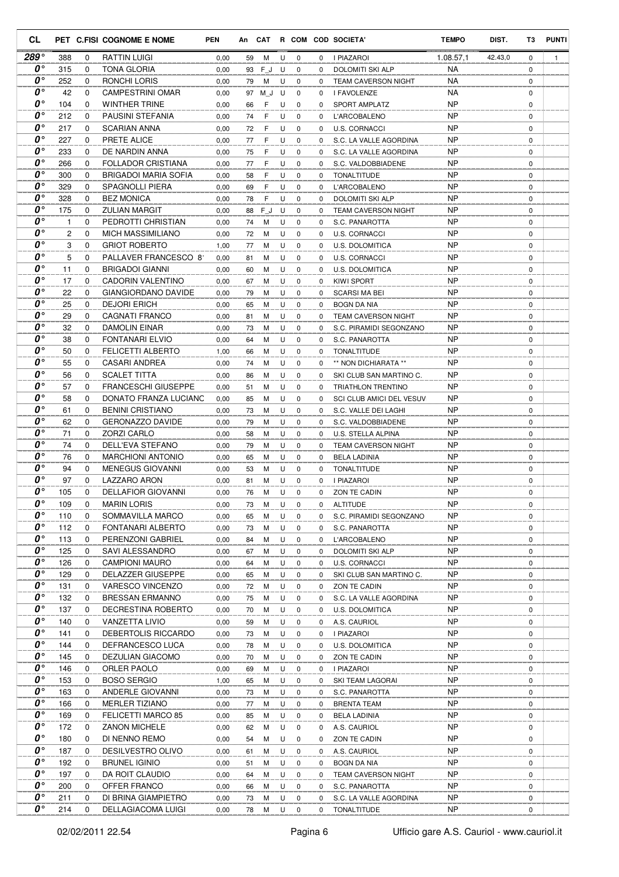| CL                              |                |             | PET C.FISI COGNOME E NOME                           | <b>PEN</b>   | An       |        |        |                  |             | CAT R COM COD SOCIETA'                       | <b>TEMPO</b>           | DIST.   | тз               | <b>PUNTI</b> |
|---------------------------------|----------------|-------------|-----------------------------------------------------|--------------|----------|--------|--------|------------------|-------------|----------------------------------------------|------------------------|---------|------------------|--------------|
| 289°                            | 388            | 0           | <b>RATTIN LUIGI</b>                                 | 0,00         | 59       | М      | U      | 0                | 0           | I PIAZAROI                                   | 1.08.57,1              | 42.43,0 | 0                | $\mathbf{1}$ |
| 0°                              | 315            | $\mathbf 0$ | <b>TONA GLORIA</b>                                  | 0,00         | 93       | FJ     | U      | $\mathbf 0$      | 0           | DOLOMITI SKI ALP                             | <b>NA</b>              |         | $\mathbf 0$      |              |
| $\boldsymbol{0}$                | 252            | 0           | RONCHI LORIS                                        | 0,00         | 79       | М      | U      | $\mathbf 0$      | 0           | <b>TEAM CAVERSON NIGHT</b>                   | <b>NA</b>              |         | 0                |              |
| O۰                              | 42             | $\Omega$    | <b>CAMPESTRINI OMAR</b>                             | 0,00         | 97       | M J    | U      | $\mathbf 0$      | 0           | I FAVOLENZE                                  | NA                     |         | $\mathbf 0$      |              |
| O۰                              | 104            | 0           | <b>WINTHER TRINE</b>                                | 0,00         | 66       | F      | U      | $\mathbf 0$      | 0           | SPORT AMPLATZ                                | <b>NP</b>              |         | 0                |              |
| $\boldsymbol{0}$<br>O۰          | 212            | $\mathbf 0$ | PAUSINI STEFANIA                                    | 0,00         | 74       | F      | U      | $\mathbf 0$      | 0           | <b>L'ARCOBALENO</b>                          | <b>NP</b>              |         | $\mathbf 0$      |              |
| $\boldsymbol{0}^{\circ}$        | 217            | 0           | <b>SCARIAN ANNA</b>                                 | 0,00         | 72       | F      | U      | 0                | 0           | U.S. CORNACCI                                | <b>NP</b>              |         | 0                |              |
| 0°                              | 227            | 0           | PRETE ALICE<br>DE NARDIN ANNA                       | 0,00         | 77       | F      | U      | $\mathbf 0$      | 0           | S.C. LA VALLE AGORDINA                       | <b>NP</b><br><b>NP</b> |         | $\mathbf 0$      |              |
| 0°                              | 233<br>266     | 0<br>0      | <b>FOLLADOR CRISTIANA</b>                           | 0,00<br>0,00 | 75       | F<br>F | U<br>U | 0<br>0           | 0<br>0      | S.C. LA VALLE AGORDINA<br>S.C. VALDOBBIADENE | <b>NP</b>              |         | 0<br>$\mathbf 0$ |              |
| O۰                              | 300            | 0           | BRIGADOI MARIA SOFIA                                | 0,00         | 77<br>58 | F      | U      | $\mathbf 0$      | 0           | <b>TONALTITUDE</b>                           | <b>NP</b>              |         | 0                |              |
| $\boldsymbol{0}$                | 329            | 0           | SPAGNOLLI PIERA                                     | 0,00         | 69       | F      | U      | 0                | 0           | <b>L'ARCOBALENO</b>                          | <b>NP</b>              |         | $\mathbf 0$      |              |
| O۰                              | 328            | $\Omega$    | <b>BEZ MONICA</b>                                   | 0,00         | 78       | F      | U      | 0                | 0           | DOLOMITI SKI ALP                             | NP                     |         | 0                |              |
| O۰                              | 175            | $\Omega$    | <b>ZULIAN MARGIT</b>                                | 0,00         | 88       | FJ     | U      | $\mathbf 0$      | 0           | <b>TEAM CAVERSON NIGHT</b>                   | <b>NP</b>              |         | $\mathbf 0$      |              |
| o۰                              | $\mathbf{1}$   | $\Omega$    | PEDROTTI CHRISTIAN                                  | 0,00         | 74       | M      | U      | $\mathbf 0$      | 0           | S.C. PANAROTTA                               | <b>NP</b>              |         | $\mathbf 0$      |              |
| $\boldsymbol{0}$                | $\overline{c}$ | 0           | <b>MICH MASSIMILIANO</b>                            | 0,00         | 72       | M      | U      | $\mathbf 0$      | 0           | U.S. CORNACCI                                | <b>NP</b>              |         | $\mathbf 0$      |              |
| $0^{\circ}$                     | 3              | 0           | <b>GRIOT ROBERTO</b>                                | 1,00         | 77       | M      | U      | 0                | 0           | U.S. DOLOMITICA                              | <b>NP</b>              |         | 0                |              |
| O۰                              | 5              | 0           | PALLAVER FRANCESCO 81                               | 0,00         | 81       | M      | U      | 0                | 0           | <b>U.S. CORNACCI</b>                         | <b>NP</b>              |         | $\mathbf 0$      |              |
| 0°                              | 11             | 0           | <b>BRIGADOI GIANNI</b>                              | 0,00         | 60       | М      | U      | $\mathbf 0$      | 0           | U.S. DOLOMITICA                              | <b>NP</b>              |         | $\mathbf 0$      |              |
| O۰                              | 17             | 0           | CADORIN VALENTINO                                   | 0,00         | 67       | М      | U      | $\mathbf 0$      | 0           | KIWI SPORT                                   | <b>NP</b>              |         | $\mathbf 0$      |              |
| O۰                              | 22             | 0           | GIANGIORDANO DAVIDE                                 | 0,00         | 79       | M      | U      | $\mathbf 0$      | 0           | <b>SCARSI MA BEI</b>                         | <b>NP</b>              |         | $\mathbf 0$      |              |
| O۰                              | 25             | 0           | <b>DEJORI ERICH</b>                                 | 0,00         | 65       | M      | U      | $\mathbf 0$      | 0           | BOGN DA NIA                                  | <b>NP</b>              |         | 0                |              |
| O۰                              | 29             | $\mathbf 0$ | <b>CAGNATI FRANCO</b>                               | 0,00         | 81       | M      | U      | $\mathbf 0$      | 0           | <b>TEAM CAVERSON NIGHT</b>                   | <b>NP</b>              |         | $\mathbf 0$      |              |
| O۰                              | 32             | 0           | DAMOLIN EINAR                                       | 0,00         | 73       | M      | U      | 0                | $\Omega$    | S.C. PIRAMIDI SEGONZANO                      | <b>NP</b>              |         | 0                |              |
| $\boldsymbol{0}$                | 38             | 0           | FONTANARI ELVIO                                     | 0,00         | 64       | M      | U      | $\mathbf 0$      | 0           | S.C. PANAROTTA                               | <b>NP</b>              |         | $\mathbf 0$      |              |
| $\boldsymbol{0}$                | 50             | 0           | <b>FELICETTI ALBERTO</b>                            | 1,00         | 66       | М      | U      | 0                | 0           | <b>TONALTITUDE</b>                           | <b>NP</b>              |         | 0                |              |
| O۰                              | 55             | 0           | CASARI ANDREA                                       | 0,00         | 74       | М      | U      | $\mathbf 0$      | 0           | ** NON DICHIARATA **                         | <b>NP</b>              |         | $\mathbf 0$      |              |
| O۰                              | 56             | 0           | <b>SCALET TITTA</b>                                 | 0,00         | 86       | М      | U      | 0                | 0           | SKI CLUB SAN MARTINO C.                      | <b>NP</b>              |         | $\mathbf 0$      |              |
| $\boldsymbol{0}$                | 57             | $\Omega$    | <b>FRANCESCHI GIUSEPPE</b>                          | 0,00         | 51       | M      | U      | $\mathbf 0$      | 0           | <b>TRIATHLON TRENTINO</b>                    | <b>NP</b>              |         | $\mathbf 0$      |              |
| O۰                              | 58             | 0           | DONATO FRANZA LUCIANO                               | 0,00         | 85       | M      | U      | 0                | 0           | SCI CLUB AMICI DEL VESUV                     | <b>NP</b>              |         | 0                |              |
| O۰                              | 61             | $\Omega$    | <b>BENINI CRISTIANO</b>                             | 0,00         | 73       | M      | U      | $\mathbf 0$      | 0           | S.C. VALLE DEI LAGHI                         | <b>NP</b>              |         | $\mathbf 0$      |              |
| O۰<br>$\boldsymbol{0}$          | 62             | 0           | <b>GERONAZZO DAVIDE</b>                             | 0,00         | 79       | M      | U      | $\mathbf 0$      | 0           | S.C. VALDOBBIADENE                           | <b>NP</b>              |         | 0                |              |
| O۰                              | 71             | 0           | <b>ZORZI CARLO</b>                                  | 0,00         | 58       | M      | U      | $\mathbf 0$      | 0           | U.S. STELLA ALPINA                           | <b>NP</b>              |         | $\mathbf 0$      |              |
| 0°                              | 74             | 0           | DELL'EVA STEFANO                                    | 0,00         | 79       | M      | U      | $\mathbf 0$      | 0           | <b>TEAM CAVERSON NIGHT</b>                   | <b>NP</b>              |         | 0                |              |
| O۰                              | 76<br>94       | 0<br>0      | <b>MARCHIONI ANTONIO</b><br><b>MENEGUS GIOVANNI</b> | 0,00         | 65       | М      | U<br>U | 0<br>$\mathbf 0$ | 0           | <b>BELA LADINIA</b>                          | <b>NP</b><br><b>NP</b> |         | 0<br>0           |              |
| 0°                              | 97             | 0           | LAZZARO ARON                                        | 0,00<br>0,00 | 53<br>81 | M<br>M | U      | $\mathbf 0$      | 0<br>0      | <b>TONALTITUDE</b><br><b>I PIAZAROI</b>      | <b>NP</b>              |         | $\mathbf 0$      |              |
| $\boldsymbol{0}$ °              | 105            | 0           | <b>DELLAFIOR GIOVANNI</b>                           | 0,00         | 76       | M      | U      | $\Omega$         | 0           | ZON TE CADIN                                 | <b>NP</b>              |         | $\mathbf 0$      |              |
| 0°                              | 109            | 0           | <b>MARIN LORIS</b>                                  | 0,00         | 73       | Μ      | U      | 0                | 0           | <b>ALTITUDE</b>                              | <b>NP</b>              |         | 0                |              |
| $\boldsymbol{0}$ °              | 110            | 0           | SOMMAVILLA MARCO                                    | 0,00         | 65       | M      | U      | 0                | 0           | S.C. PIRAMIDI SEGONZANO                      | <b>NP</b>              |         | 0                |              |
| $\overline{\mathbf{0}}^{\circ}$ | 112            | 0           | FONTANARI ALBERTO                                   | 0,00         | 73       | М      | U      | $\mathbf 0$      | 0           | S.C. PANAROTTA                               | <b>NP</b>              |         | 0                |              |
| 0°                              | 113            | 0           | PERENZONI GABRIEL                                   | 0,00         | 84       | М      | U      | $\mathbf 0$      | 0           | L'ARCOBALENO                                 | <b>NP</b>              |         | 0                |              |
| 0°                              | 125            | $\mathbf 0$ | SAVI ALESSANDRO                                     | 0,00         | 67       | М      | U      | $\mathbf 0$      | $\mathbf 0$ | DOLOMITI SKI ALP                             | <b>NP</b>              |         | 0                |              |
| 0°                              | 126            | 0           | <b>CAMPIONI MAURO</b>                               | 0,00         | 64       | М      | U      | $\mathbf 0$      | 0           | <b>U.S. CORNACCI</b>                         | NP                     |         | 0                |              |
| 0°                              | 129            | 0           | DELAZZER GIUSEPPE                                   | 0,00         | 65       | М      | U      | 0                | 0           | SKI CLUB SAN MARTINO C.                      | NP                     |         | 0                |              |
| 0°                              | 131            | 0           | <b>VARESCO VINCENZO</b>                             | 0,00         | 72       | М      | U      | 0                | 0           | ZON TE CADIN                                 | NP                     |         | 0                |              |
| 0°                              | 132            | 0           | <b>BRESSAN ERMANNO</b>                              | 0,00         | 75       | М      | U      | 0                | 0           | S.C. LA VALLE AGORDINA                       | NP                     |         | 0                |              |
| 0°                              | 137            | 0           | DECRESTINA ROBERTO                                  | 0,00         | 70       | М      | U      | $\mathbf 0$      | 0           | U.S. DOLOMITICA                              | <b>NP</b>              |         | 0                |              |
| $\boldsymbol{o} \circ$          | 140            | 0           | <b>VANZETTA LIVIO</b>                               | 0,00         | 59       | М      | U      | 0                | 0           | A.S. CAURIOL                                 | <b>NP</b>              |         | 0                |              |
| 0°                              | 141            | 0           | DEBERTOLIS RICCARDO                                 | 0,00         | 73       | М      | U      | $\mathbf 0$      | 0           | I PIAZAROI                                   | <b>NP</b>              |         | 0                |              |
| 0°                              | 144            | 0           | DEFRANCESCO LUCA                                    | 0,00         | 78       | М      | U      | 0                | 0           | U.S. DOLOMITICA                              | <b>NP</b>              |         | 0                |              |
| 0°                              | 145            | 0           | DEZULIAN GIACOMO                                    | 0,00         | 70       | М      | U      | 0                | 0           | ZON TE CADIN                                 | NP                     |         | 0                |              |
| 0°                              | 146            | 0           | ORLER PAOLO                                         | 0,00         | 69       | М      | U      | 0                | 0           | I PIAZAROI                                   | NP                     |         | 0                |              |
| 0°                              | 153            | 0           | <b>BOSO SERGIO</b>                                  | 1,00         | 65       | М      | U      | 0                | 0           | SKI TEAM LAGORAI                             | NP                     |         | 0                |              |
| 0°                              | 163            | 0           | <b>ANDERLE GIOVANNI</b>                             | 0,00         | 73       | М      | U      | 0                | 0           | S.C. PANAROTTA                               | NP                     |         | 0                |              |
| 0°                              | 166            | 0           | <b>MERLER TIZIANO</b>                               | 0,00         | 77       | М      | U      | 0                | 0           | <b>BRENTA TEAM</b>                           | NP                     |         | 0                |              |
| O۰                              | 169            | 0           | FELICETTI MARCO 85                                  | 0,00         | 85       | М      | U      | 0                | 0           | <b>BELA LADINIA</b>                          | <b>NP</b>              |         | 0                |              |
| 0°                              | 172            | 0           | <b>ZANON MICHELE</b>                                | 0,00         | 62       | М      | U      | 0                | 0           | A.S. CAURIOL                                 | <b>NP</b>              |         | 0                |              |
| 0°<br>0°                        | 180            | 0           | DI NENNO REMO                                       | 0,00         | 54       | М      | U      | 0                | 0           | ZON TE CADIN                                 | <b>NP</b>              |         | 0                |              |
| 0°                              | 187            | 0           | DESILVESTRO OLIVO                                   | 0,00         | 61       | М      | U      | $\mathbf 0$      | 0           | A.S. CAURIOL                                 | <b>NP</b>              |         | 0                |              |
| 0°                              | 192<br>197     | 0<br>0      | <b>BRUNEL IGINIO</b><br>DA ROIT CLAUDIO             | 0,00         | 51       | М<br>М | U<br>U | 0<br>0           | 0<br>0      | <b>BOGN DA NIA</b><br>TEAM CAVERSON NIGHT    | NP<br>NP               |         | 0<br>0           |              |
| 0°                              | 200            | 0           | OFFER FRANCO                                        | 0,00<br>0,00 | 64<br>66 | M      | U      | 0                | 0           | S.C. PANAROTTA                               | NP                     |         | 0                |              |
| 0°                              | 211            | 0           | DI BRINA GIAMPIETRO                                 | 0,00         | 73       | М      | U      | 0                | 0           | S.C. LA VALLE AGORDINA                       | NP                     |         | 0                |              |
| 0°                              | 214            | $\mathbf 0$ | <b>DELLAGIACOMA LUIGI</b>                           | 0,00         | 78       | M      | U      | $\mathbf 0$      | 0           | TONALTITUDE                                  | <b>NP</b>              |         | 0                |              |